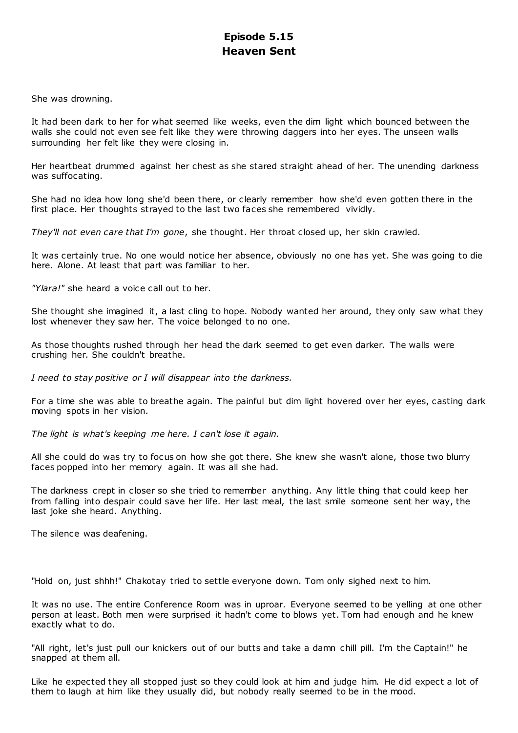# **Episode 5.15 Heaven Sent**

She was drowning.

It had been dark to her for what seemed like weeks, even the dim light which bounced between the walls she could not even see felt like they were throwing daggers into her eyes. The unseen walls surrounding her felt like they were closing in.

Her heartbeat drummed against her chest as she stared straight ahead of her. The unending darkness was suffocating.

She had no idea how long she'd been there, or clearly remember how she'd even gotten there in the first place. Her thoughts strayed to the last two faces she remembered vividly.

*They'll not even care that I'm gone*, she thought. Her throat closed up, her skin crawled.

It was certainly true. No one would notice her absence, obviously no one has yet. She was going to die here. Alone. At least that part was familiar to her.

*"Ylara!"* she heard a voice call out to her.

She thought she imagined it, a last cling to hope. Nobody wanted her around, they only saw what they lost whenever they saw her. The voice belonged to no one.

As those thoughts rushed through her head the dark seemed to get even darker. The walls were crushing her. She couldn't breathe.

*I need to stay positive or I will disappear into the darkness.*

For a time she was able to breathe again. The painful but dim light hovered over her eyes, casting dark moving spots in her vision.

*The light is what's keeping me here. I can't lose it again.*

All she could do was try to focus on how she got there. She knew she wasn't alone, those two blurry faces popped into her memory again. It was all she had.

The darkness crept in closer so she tried to remember anything. Any little thing that could keep her from falling into despair could save her life. Her last meal, the last smile someone sent her way, the last joke she heard. Anything.

The silence was deafening.

"Hold on, just shhh!" Chakotay tried to settle everyone down. Tom only sighed next to him.

It was no use. The entire Conference Room was in uproar. Everyone seemed to be yelling at one other person at least. Both men were surprised it hadn't come to blows yet. Tom had enough and he knew exactly what to do.

"All right, let's just pull our knickers out of our butts and take a damn chill pill. I'm the Captain!" he snapped at them all.

Like he expected they all stopped just so they could look at him and judge him. He did expect a lot of them to laugh at him like they usually did, but nobody really seemed to be in the mood.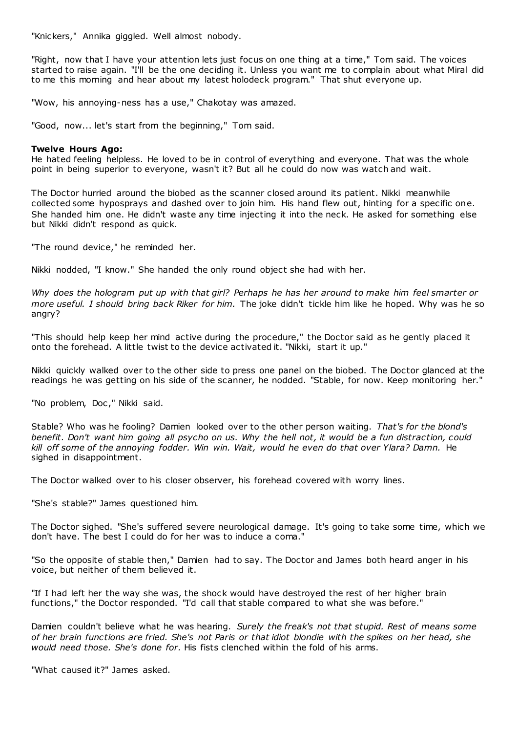"Knickers," Annika giggled. Well almost nobody.

"Right, now that I have your attention lets just focus on one thing at a time," Tom said. The voices started to raise again. "I'll be the one deciding it. Unless you want me to complain about what Miral did to me this morning and hear about my latest holodeck program." That shut everyone up.

"Wow, his annoying-ness has a use," Chakotay was amazed.

"Good, now... let's start from the beginning," Tom said.

# **Twelve Hours Ago:**

He hated feeling helpless. He loved to be in control of everything and everyone. That was the whole point in being superior to everyone, wasn't it? But all he could do now was watch and wait.

The Doctor hurried around the biobed as the scanner closed around its patient. Nikki meanwhile collected some hyposprays and dashed over to join him. His hand flew out, hinting for a specific one. She handed him one. He didn't waste any time injecting it into the neck. He asked for something else but Nikki didn't respond as quick.

"The round device," he reminded her.

Nikki nodded, "I know." She handed the only round object she had with her.

*Why does the hologram put up with that girl? Perhaps he has her around to make him feel smarter or more useful. I should bring back Riker for him.* The joke didn't tickle him like he hoped. Why was he so angry?

"This should help keep her mind active during the procedure," the Doctor said as he gently placed it onto the forehead. A little twist to the device activated it. "Nikki, start it up."

Nikki quickly walked over to the other side to press one panel on the biobed. The Doctor glanced at the readings he was getting on his side of the scanner, he nodded. "Stable, for now. Keep monitoring her."

"No problem, Doc," Nikki said.

Stable? Who was he fooling? Damien looked over to the other person waiting. *That's for the blond's benefit. Don't want him going all psycho on us. Why the hell not, it would be a fun distraction, could kill off some of the annoying fodder. Win win. Wait, would he even do that over Ylara? Damn.* He sighed in disappointment.

The Doctor walked over to his closer observer, his forehead covered with worry lines.

"She's stable?" James questioned him.

The Doctor sighed. "She's suffered severe neurological damage. It's going to take some time, which we don't have. The best I could do for her was to induce a coma."

"So the opposite of stable then," Damien had to say. The Doctor and James both heard anger in his voice, but neither of them believed it.

"If I had left her the way she was, the shock would have destroyed the rest of her higher brain functions," the Doctor responded. "I'd call that stable compared to what she was before."

Damien couldn't believe what he was hearing. *Surely the freak's not that stupid. Rest of means some of her brain functions are fried. She's not Paris or that idiot blondie with the spikes on her head, she would need those. She's done for.* His fists clenched within the fold of his arms.

"What caused it?" James asked.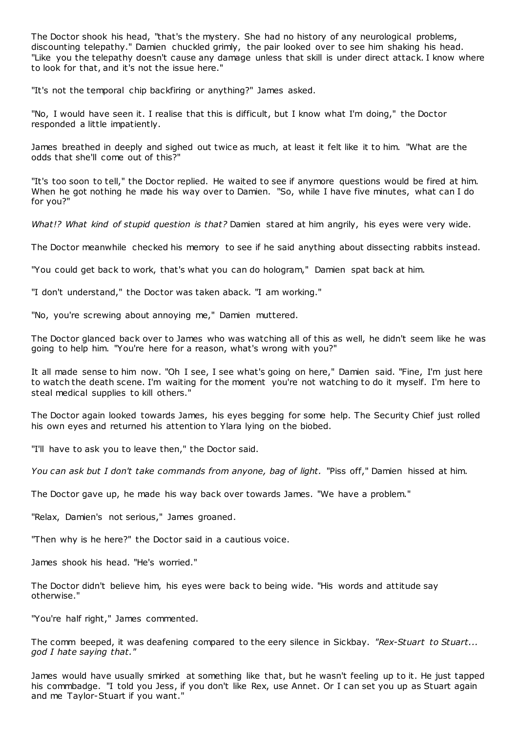The Doctor shook his head, "that's the mystery. She had no history of any neurological problems, discounting telepathy." Damien chuckled grimly, the pair looked over to see him shaking his head. "Like you the telepathy doesn't cause any damage unless that skill is under direct attack. I know where to look for that, and it's not the issue here."

"It's not the temporal chip backfiring or anything?" James asked.

"No, I would have seen it. I realise that this is difficult, but I know what I'm doing," the Doctor responded a little impatiently.

James breathed in deeply and sighed out twice as much, at least it felt like it to him. "What are the odds that she'll come out of this?"

"It's too soon to tell," the Doctor replied. He waited to see if anymore questions would be fired at him. When he got nothing he made his way over to Damien. "So, while I have five minutes, what can I do for you?"

*What!? What kind of stupid question is that?* Damien stared at him angrily, his eyes were very wide.

The Doctor meanwhile checked his memory to see if he said anything about dissecting rabbits instead.

"You could get back to work, that's what you can do hologram," Damien spat back at him.

"I don't understand," the Doctor was taken aback. "I am working."

"No, you're screwing about annoying me," Damien muttered.

The Doctor glanced back over to James who was watching all of this as well, he didn't seem like he was going to help him. "You're here for a reason, what's wrong with you?"

It all made sense to him now. "Oh I see, I see what's going on here," Damien said. "Fine, I'm just here to watch the death scene. I'm waiting for the moment you're not watching to do it myself. I'm here to steal medical supplies to kill others."

The Doctor again looked towards James, his eyes begging for some help. The Security Chief just rolled his own eyes and returned his attention to Ylara lying on the biobed.

"I'll have to ask you to leave then," the Doctor said.

*You can ask but I don't take commands from anyone, bag of light.* "Piss off," Damien hissed at him.

The Doctor gave up, he made his way back over towards James. "We have a problem."

"Relax, Damien's not serious," James groaned.

"Then why is he here?" the Doctor said in a cautious voice.

James shook his head. "He's worried."

The Doctor didn't believe him, his eyes were back to being wide. "His words and attitude say otherwise."

"You're half right," James commented.

The comm beeped, it was deafening compared to the eery silence in Sickbay. *"Rex-Stuart to Stuart... god I hate saying that."*

James would have usually smirked at something like that, but he wasn't feeling up to it. He just tapped his commbadge. "I told you Jess, if you don't like Rex, use Annet. Or I can set you up as Stuart again and me Taylor-Stuart if you want."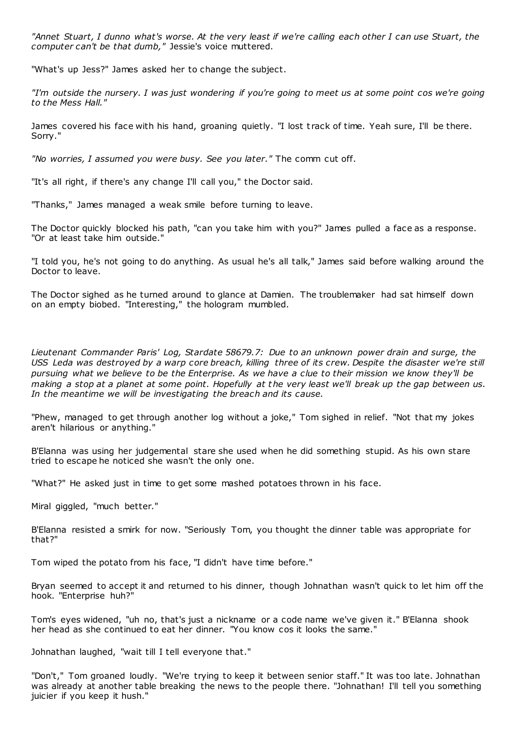*"Annet Stuart, I dunno what's worse. At the very least if we're calling each other I can use Stuart, the computer can't be that dumb,"* Jessie's voice muttered.

"What's up Jess?" James asked her to change the subject.

*"I'm outside the nursery. I was just wondering if you're going to meet us at some point cos we're going to the Mess Hall."*

James covered his face with his hand, groaning quietly. "I lost t rack of time. Yeah sure, I'll be there. Sorry."

*"No worries, I assumed you were busy. See you later."* The comm cut off.

"It's all right, if there's any change I'll call you," the Doctor said.

"Thanks," James managed a weak smile before turning to leave.

The Doctor quickly blocked his path, "can you take him with you?" James pulled a face as a response. "Or at least take him outside."

"I told you, he's not going to do anything. As usual he's all talk," James said before walking around the Doctor to leave.

The Doctor sighed as he turned around to glance at Damien. The troublemaker had sat himself down on an empty biobed. "Interesting," the hologram mumbled.

*Lieutenant Commander Paris' Log, Stardate 58679.7: Due to an unknown power drain and surge, the USS Leda was destroyed by a warp core breach, killing three of its crew. Despite the disaster we're still pursuing what we believe to be the Enterprise. As we have a clue to their mission we know they'll be making a stop at a planet at some point. Hopefully at the very least we'll break up the gap between us. In the meantime we will be investigating the breach and its cause.*

"Phew, managed to get through another log without a joke," Tom sighed in relief. "Not that my jokes aren't hilarious or anything."

B'Elanna was using her judgemental stare she used when he did something stupid. As his own stare tried to escape he noticed she wasn't the only one.

"What?" He asked just in time to get some mashed potatoes thrown in his face.

Miral giggled, "much better."

B'Elanna resisted a smirk for now. "Seriously Tom, you thought the dinner table was appropriate for that?"

Tom wiped the potato from his face, "I didn't have time before."

Bryan seemed to accept it and returned to his dinner, though Johnathan wasn't quick to let him off the hook. "Enterprise huh?"

Tom's eyes widened, "uh no, that's just a nickname or a code name we've given it." B'Elanna shook her head as she continued to eat her dinner. "You know cos it looks the same."

Johnathan laughed, "wait till I tell everyone that."

"Don't," Tom groaned loudly. "We're trying to keep it between senior staff." It was too late. Johnathan was already at another table breaking the news to the people there. "Johnathan! I'll tell you something juicier if you keep it hush."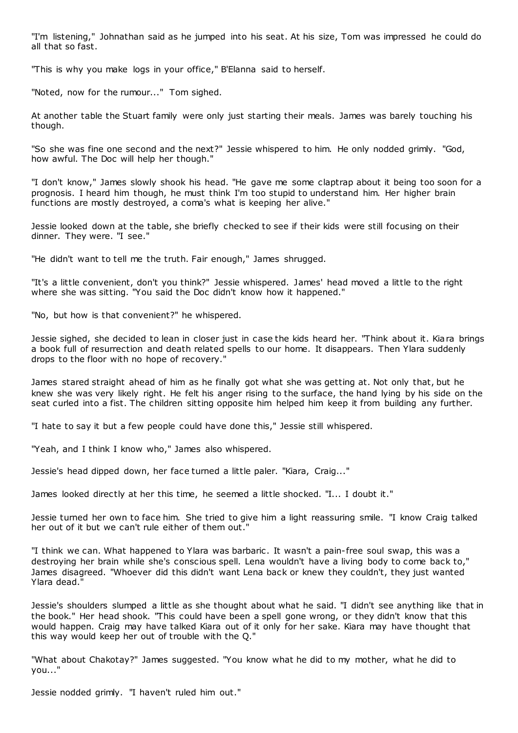"I'm listening," Johnathan said as he jumped into his seat. At his size, Tom was impressed he could do all that so fast.

"This is why you make logs in your office," B'Elanna said to herself.

"Noted, now for the rumour..." Tom sighed.

At another table the Stuart family were only just starting their meals. James was barely touching his though.

"So she was fine one second and the next?" Jessie whispered to him. He only nodded grimly. "God, how awful. The Doc will help her though."

"I don't know," James slowly shook his head. "He gave me some claptrap about it being too soon for a prognosis. I heard him though, he must think I'm too stupid to understand him. Her higher brain functions are mostly destroyed, a coma's what is keeping her alive."

Jessie looked down at the table, she briefly checked to see if their kids were still focusing on their dinner. They were. "I see."

"He didn't want to tell me the truth. Fair enough," James shrugged.

"It's a little convenient, don't you think?" Jessie whispered. James' head moved a little to the right where she was sitting. "You said the Doc didn't know how it happened."

"No, but how is that convenient?" he whispered.

Jessie sighed, she decided to lean in closer just in case the kids heard her. "Think about it. Kiara brings a book full of resurrection and death related spells to our home. It disappears. Then Ylara suddenly drops to the floor with no hope of recovery."

James stared straight ahead of him as he finally got what she was getting at. Not only that, but he knew she was very likely right. He felt his anger rising to the surface, the hand lying by his side on the seat curled into a fist. The children sitting opposite him helped him keep it from building any further.

"I hate to say it but a few people could have done this," Jessie still whispered.

"Yeah, and I think I know who," James also whispered.

Jessie's head dipped down, her face turned a little paler. "Kiara, Craig..."

James looked directly at her this time, he seemed a little shocked. "I... I doubt it."

Jessie turned her own to face him. She tried to give him a light reassuring smile. "I know Craig talked her out of it but we can't rule either of them out."

"I think we can. What happened to Ylara was barbaric. It wasn't a pain-free soul swap, this was a destroying her brain while she's conscious spell. Lena wouldn't have a living body to come back to," James disagreed. "Whoever did this didn't want Lena back or knew they couldn't, they just wanted Ylara dead."

Jessie's shoulders slumped a little as she thought about what he said. "I didn't see anything like that in the book." Her head shook. "This could have been a spell gone wrong, or they didn't know that this would happen. Craig may have talked Kiara out of it only for her sake. Kiara may have thought that this way would keep her out of trouble with the Q."

"What about Chakotay?" James suggested. "You know what he did to my mother, what he did to you..."

Jessie nodded grimly. "I haven't ruled him out."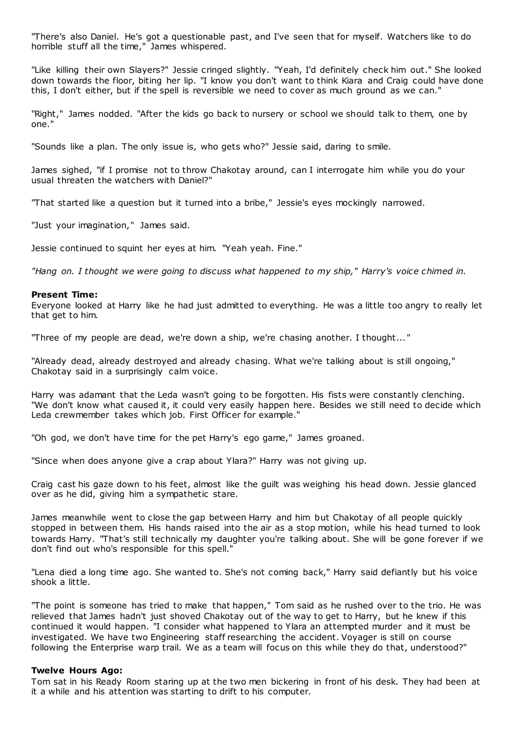"There's also Daniel. He's got a questionable past, and I've seen that for myself. Watchers like to do horrible stuff all the time," James whispered.

"Like killing their own Slayers?" Jessie cringed slightly. "Yeah, I'd definitely check him out." She looked down towards the floor, biting her lip. "I know you don't want to think Kiara and Craig could have done this, I don't either, but if the spell is reversible we need to cover as much ground as we can."

"Right," James nodded. "After the kids go back to nursery or school we should talk to them, one by one."

"Sounds like a plan. The only issue is, who gets who?" Jessie said, daring to smile.

James sighed, "if I promise not to throw Chakotay around, can I interrogate him while you do your usual threaten the watchers with Daniel?"

"That started like a question but it turned into a bribe," Jessie's eyes mockingly narrowed.

"Just your imagination," James said.

Jessie continued to squint her eyes at him. "Yeah yeah. Fine."

*"Hang on. I thought we were going to discuss what happened to my ship," Harry's voice chimed in.*

#### **Present Time:**

Everyone looked at Harry like he had just admitted to everything. He was a little too angry to really let that get to him.

"Three of my people are dead, we're down a ship, we're chasing another. I thought... "

"Already dead, already destroyed and already chasing. What we're talking about is still ongoing," Chakotay said in a surprisingly calm voice.

Harry was adamant that the Leda wasn't going to be forgotten. His fists were constantly clenching. "We don't know what caused it, it could very easily happen here. Besides we still need to decide which Leda crewmember takes which job. First Officer for example."

"Oh god, we don't have time for the pet Harry's ego game," James groaned.

"Since when does anyone give a crap about Ylara?" Harry was not giving up.

Craig cast his gaze down to his feet, almost like the guilt was weighing his head down. Jessie glanced over as he did, giving him a sympathetic stare.

James meanwhile went to close the gap between Harry and him but Chakotay of all people quickly stopped in between them. His hands raised into the air as a stop motion, while his head turned to look towards Harry. "That's still technically my daughter you're talking about. She will be gone forever if we don't find out who's responsible for this spell."

"Lena died a long time ago. She wanted to. She's not coming back," Harry said defiantly but his voice shook a little.

"The point is someone has tried to make that happen," Tom said as he rushed over to the trio. He was relieved that James hadn't just shoved Chakotay out of the way to get to Harry, but he knew if this continued it would happen. "I consider what happened to Ylara an attempted murder and it must be investigated. We have two Engineering staff researching the accident. Voyager is still on course following the Enterprise warp trail. We as a team will focus on this while they do that, understood?"

#### **Twelve Hours Ago:**

Tom sat in his Ready Room staring up at the two men bickering in front of his desk. They had been at it a while and his attention was starting to drift to his computer.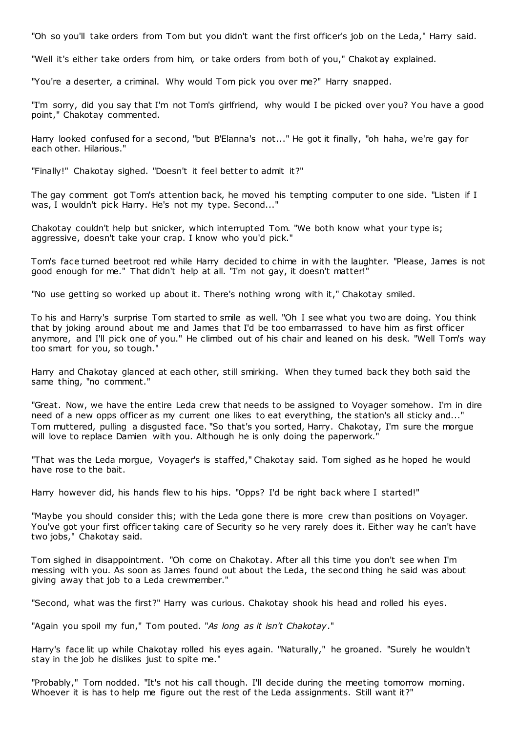"Oh so you'll take orders from Tom but you didn't want the first officer's job on the Leda," Harry said.

"Well it's either take orders from him, or take orders from both of you," Chakot ay explained.

"You're a deserter, a criminal. Why would Tom pick you over me?" Harry snapped.

"I'm sorry, did you say that I'm not Tom's girlfriend, why would I be picked over you? You have a good point," Chakotay commented.

Harry looked confused for a second, "but B'Elanna's not..." He got it finally, "oh haha, we're gay for each other. Hilarious."

"Finally!" Chakotay sighed. "Doesn't it feel better to admit it?"

The gay comment got Tom's attention back, he moved his tempting computer to one side. "Listen if I was, I wouldn't pick Harry. He's not my type. Second..."

Chakotay couldn't help but snicker, which interrupted Tom. "We both know what your type is; aggressive, doesn't take your crap. I know who you'd pick."

Tom's face turned beetroot red while Harry decided to chime in with the laughter. "Please, James is not good enough for me." That didn't help at all. "I'm not gay, it doesn't matter!"

"No use getting so worked up about it. There's nothing wrong with it," Chakotay smiled.

To his and Harry's surprise Tom started to smile as well. "Oh I see what you two are doing. You think that by joking around about me and James that I'd be too embarrassed to have him as first officer anymore, and I'll pick one of you." He climbed out of his chair and leaned on his desk. "Well Tom's way too smart for you, so tough."

Harry and Chakotay glanced at each other, still smirking. When they turned back they both said the same thing, "no comment."

"Great. Now, we have the entire Leda crew that needs to be assigned to Voyager somehow. I'm in dire need of a new opps officer as my current one likes to eat everything, the station's all sticky and..." Tom muttered, pulling a disgusted face. "So that's you sorted, Harry. Chakotay, I'm sure the morgue will love to replace Damien with you. Although he is only doing the paperwork.

"That was the Leda morgue, Voyager's is staffed," Chakotay said. Tom sighed as he hoped he would have rose to the bait.

Harry however did, his hands flew to his hips. "Opps? I'd be right back where I started!"

"Maybe you should consider this; with the Leda gone there is more crew than positions on Voyager. You've got your first officer taking care of Security so he very rarely does it. Either way he can't have two jobs," Chakotay said.

Tom sighed in disappointment. "Oh come on Chakotay. After all this time you don't see when I'm messing with you. As soon as James found out about the Leda, the second thing he said was about giving away that job to a Leda crewmember."

"Second, what was the first?" Harry was curious. Chakotay shook his head and rolled his eyes.

"Again you spoil my fun," Tom pouted. "*As long as it isn't Chakotay*."

Harry's face lit up while Chakotay rolled his eyes again. "Naturally," he groaned. "Surely he wouldn't stay in the job he dislikes just to spite me."

"Probably," Tom nodded. "It's not his call though. I'll decide during the meeting tomorrow morning. Whoever it is has to help me figure out the rest of the Leda assignments. Still want it?"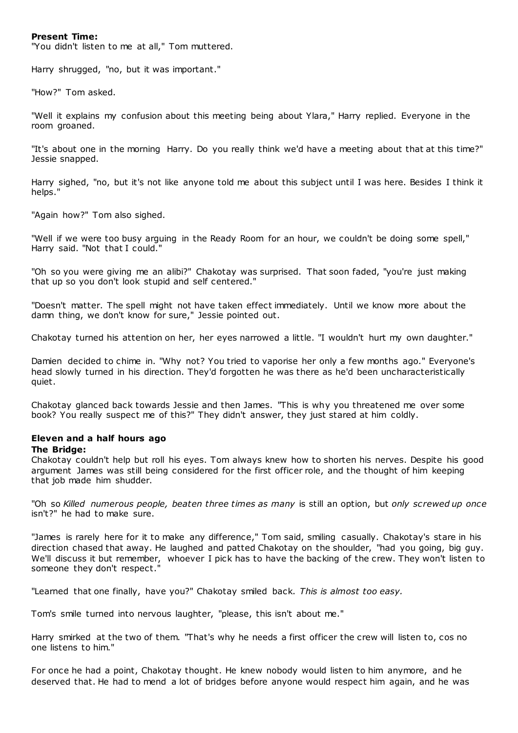## **Present Time:**

"You didn't listen to me at all," Tom muttered.

Harry shrugged, "no, but it was important."

"How?" Tom asked.

"Well it explains my confusion about this meeting being about Ylara," Harry replied. Everyone in the room groaned.

"It's about one in the morning Harry. Do you really think we'd have a meeting about that at this time?" Jessie snapped.

Harry sighed, "no, but it's not like anyone told me about this subject until I was here. Besides I think it helps."

"Again how?" Tom also sighed.

"Well if we were too busy arguing in the Ready Room for an hour, we couldn't be doing some spell," Harry said. "Not that I could."

"Oh so you were giving me an alibi?" Chakotay was surprised. That soon faded, "you're just making that up so you don't look stupid and self centered."

"Doesn't matter. The spell might not have taken effect immediately. Until we know more about the damn thing, we don't know for sure," Jessie pointed out.

Chakotay turned his attention on her, her eyes narrowed a little. "I wouldn't hurt my own daughter."

Damien decided to chime in. "Why not? You tried to vaporise her only a few months ago." Everyone's head slowly turned in his direction. They'd forgotten he was there as he'd been uncharacteristically quiet.

Chakotay glanced back towards Jessie and then James. "This is why you threatened me over some book? You really suspect me of this?" They didn't answer, they just stared at him coldly.

#### **Eleven and a half hours ago The Bridge:**

Chakotay couldn't help but roll his eyes. Tom always knew how to shorten his nerves. Despite his good argument James was still being considered for the first officer role, and the thought of him keeping that job made him shudder.

"Oh so *Killed numerous people, beaten three times as many* is still an option, but *only screwed up once* isn't?" he had to make sure.

"James is rarely here for it to make any difference," Tom said, smiling casually. Chakotay's stare in his direction chased that away. He laughed and patted Chakotay on the shoulder, "had you going, big guy. We'll discuss it but remember, whoever I pick has to have the backing of the crew. They won't listen to someone they don't respect."

"Learned that one finally, have you?" Chakotay smiled back. *This is almost too easy.*

Tom's smile turned into nervous laughter, "please, this isn't about me."

Harry smirked at the two of them. "That's why he needs a first officer the crew will listen to, cos no one listens to him."

For once he had a point, Chakotay thought. He knew nobody would listen to him anymore, and he deserved that. He had to mend a lot of bridges before anyone would respect him again, and he was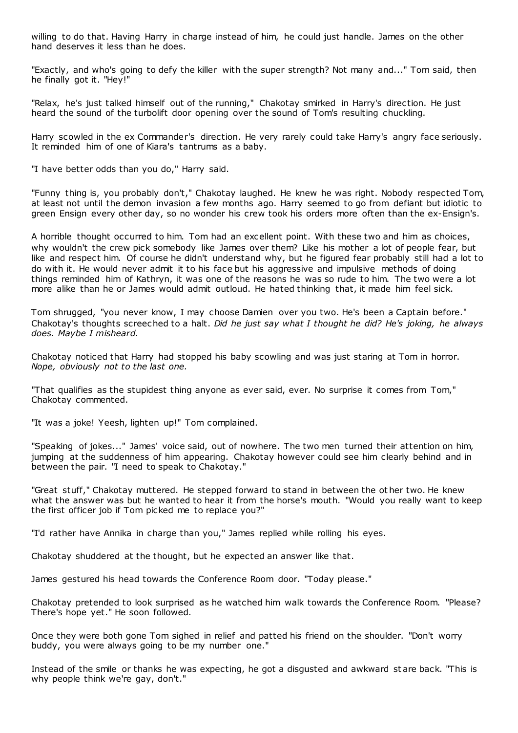willing to do that. Having Harry in charge instead of him, he could just handle. James on the other hand deserves it less than he does.

"Exactly, and who's going to defy the killer with the super strength? Not many and..." Tom said, then he finally got it. "Hey!"

"Relax, he's just talked himself out of the running," Chakotay smirked in Harry's direction. He just heard the sound of the turbolift door opening over the sound of Tom's resulting chuckling.

Harry scowled in the ex Commander's direction. He very rarely could take Harry's angry face seriously. It reminded him of one of Kiara's tantrums as a baby.

"I have better odds than you do," Harry said.

"Funny thing is, you probably don't," Chakotay laughed. He knew he was right. Nobody respected Tom, at least not until the demon invasion a few months ago. Harry seemed to go from defiant but idiotic to green Ensign every other day, so no wonder his crew took his orders more often than the ex-Ensign's.

A horrible thought occurred to him. Tom had an excellent point. With these two and him as choices, why wouldn't the crew pick somebody like James over them? Like his mother a lot of people fear, but like and respect him. Of course he didn't understand why, but he figured fear probably still had a lot to do with it. He would never admit it to his face but his aggressive and impulsive methods of doing things reminded him of Kathryn, it was one of the reasons he was so rude to him. The two were a lot more alike than he or James would admit outloud. He hated thinking that, it made him feel sick.

Tom shrugged, "you never know, I may choose Damien over you two. He's been a Captain before." Chakotay's thoughts screeched to a halt. *Did he just say what I thought he did? He's joking, he always does. Maybe I misheard.*

Chakotay noticed that Harry had stopped his baby scowling and was just staring at Tom in horror. *Nope, obviously not to the last one.*

"That qualifies as the stupidest thing anyone as ever said, ever. No surprise it comes from Tom," Chakotay commented.

"It was a joke! Yeesh, lighten up!" Tom complained.

"Speaking of jokes..." James' voice said, out of nowhere. The two men turned their attention on him, jumping at the suddenness of him appearing. Chakotay however could see him clearly behind and in between the pair. "I need to speak to Chakotay."

"Great stuff," Chakotay muttered. He stepped forward to stand in between the ot her two. He knew what the answer was but he wanted to hear it from the horse's mouth. "Would you really want to keep the first officer job if Tom picked me to replace you?"

"I'd rather have Annika in charge than you," James replied while rolling his eyes.

Chakotay shuddered at the thought, but he expected an answer like that.

James gestured his head towards the Conference Room door. "Today please."

Chakotay pretended to look surprised as he watched him walk towards the Conference Room. "Please? There's hope yet." He soon followed.

Once they were both gone Tom sighed in relief and patted his friend on the shoulder. "Don't worry buddy, you were always going to be my number one."

Instead of the smile or thanks he was expecting, he got a disgusted and awkward st are back. "This is why people think we're gay, don't."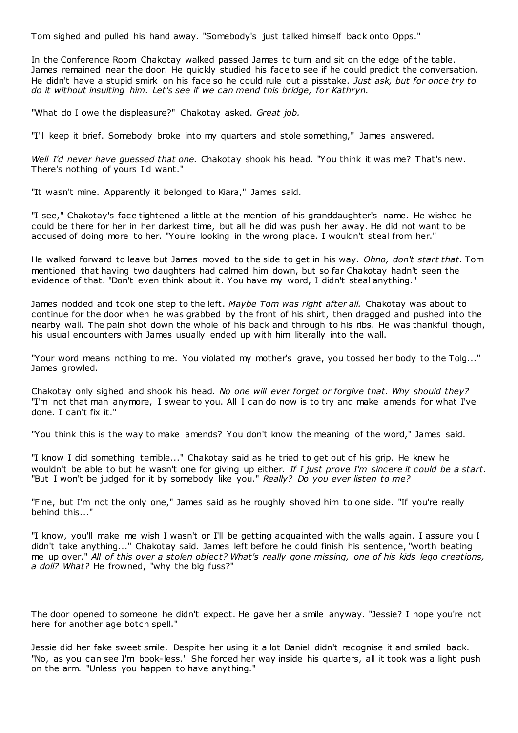Tom sighed and pulled his hand away. "Somebody's just talked himself back onto Opps."

In the Conference Room Chakotay walked passed James to turn and sit on the edge of the table. James remained near the door. He quickly studied his face to see if he could predict the conversation. He didn't have a stupid smirk on his face so he could rule out a pisstake. *Just ask, but for once try to do it without insulting him. Let's see if we can mend this bridge, for Kathryn.*

"What do I owe the displeasure?" Chakotay asked. *Great job.*

"I'll keep it brief. Somebody broke into my quarters and stole something," James answered.

*Well I'd never have guessed that one.* Chakotay shook his head. "You think it was me? That's new. There's nothing of yours I'd want."

"It wasn't mine. Apparently it belonged to Kiara," James said.

"I see," Chakotay's face tightened a little at the mention of his granddaughter's name. He wished he could be there for her in her darkest time, but all he did was push her away. He did not want to be accused of doing more to her. "You're looking in the wrong place. I wouldn't steal from her."

He walked forward to leave but James moved to the side to get in his way. *Ohno, don't start that.* Tom mentioned that having two daughters had calmed him down, but so far Chakotay hadn't seen the evidence of that. "Don't even think about it. You have my word, I didn't steal anything."

James nodded and took one step to the left. *Maybe Tom was right after all.* Chakotay was about to continue for the door when he was grabbed by the front of his shirt, then dragged and pushed into the nearby wall. The pain shot down the whole of his back and through to his ribs. He was thankful though, his usual encounters with James usually ended up with him literally into the wall.

"Your word means nothing to me. You violated my mother's grave, you tossed her body to the Tolg..." James growled.

Chakotay only sighed and shook his head. *No one will ever forget or forgive that. Why should they?* "I'm not that man anymore, I swear to you. All I can do now is to try and make amends for what I've done. I can't fix it."

"You think this is the way to make amends? You don't know the meaning of the word," James said.

"I know I did something terrible..." Chakotay said as he tried to get out of his grip. He knew he wouldn't be able to but he wasn't one for giving up either. *If I just prove I'm sincere it could be a start.*  "But I won't be judged for it by somebody like you." *Really? Do you ever listen to me?*

"Fine, but I'm not the only one," James said as he roughly shoved him to one side. "If you're really behind this..."

"I know, you'll make me wish I wasn't or I'll be getting acquainted with the walls again. I assure you I didn't take anything..." Chakotay said. James left before he could finish his sentence, "worth beating me up over." *All of this over a stolen object? What's really gone missing, one of his kids lego creations, a doll? What?* He frowned, "why the big fuss?"

The door opened to someone he didn't expect. He gave her a smile anyway. "Jessie? I hope you're not here for another age botch spell."

Jessie did her fake sweet smile. Despite her using it a lot Daniel didn't recognise it and smiled back. "No, as you can see I'm book-less." She forced her way inside his quarters, all it took was a light push on the arm. "Unless you happen to have anything."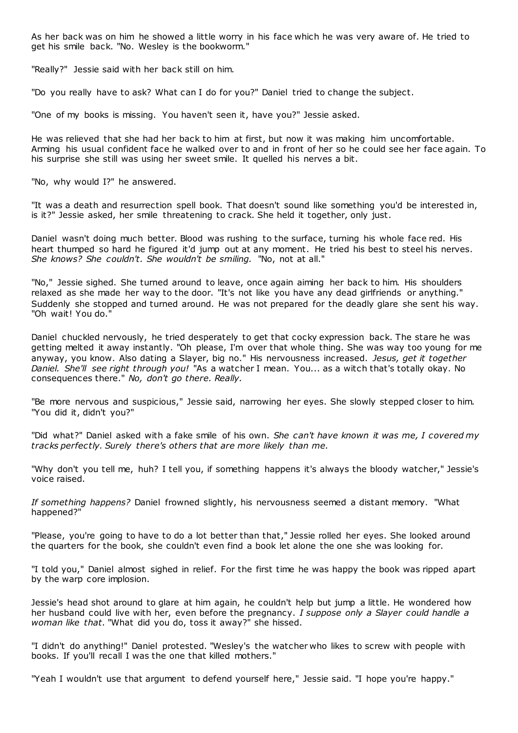As her back was on him he showed a little worry in his face which he was very aware of. He tried to get his smile back. "No. Wesley is the bookworm."

"Really?" Jessie said with her back still on him.

"Do you really have to ask? What can I do for you?" Daniel tried to change the subject.

"One of my books is missing. You haven't seen it, have you?" Jessie asked.

He was relieved that she had her back to him at first, but now it was making him uncomfortable. Arming his usual confident face he walked over to and in front of her so he could see her face again. To his surprise she still was using her sweet smile. It quelled his nerves a bit.

"No, why would I?" he answered.

"It was a death and resurrection spell book. That doesn't sound like something you'd be interested in, is it?" Jessie asked, her smile threatening to crack. She held it together, only just.

Daniel wasn't doing much better. Blood was rushing to the surface, turning his whole face red. His heart thumped so hard he figured it'd jump out at any moment. He tried his best to steel his nerves. *She knows? She couldn't. She wouldn't be smiling.* "No, not at all."

"No," Jessie sighed. She turned around to leave, once again aiming her back to him. His shoulders relaxed as she made her way to the door. "It's not like you have any dead girlfriends or anything." Suddenly she stopped and turned around. He was not prepared for the deadly glare she sent his way. "Oh wait! You do."

Daniel chuckled nervously, he tried desperately to get that cocky expression back. The stare he was getting melted it away instantly. "Oh please, I'm over that whole thing. She was way too young for me anyway, you know. Also dating a Slayer, big no." His nervousness increased. *Jesus, get it together Daniel. She'll see right through you!* "As a watcher I mean. You... as a witch that's totally okay. No consequences there." *No, don't go there. Really.*

"Be more nervous and suspicious," Jessie said, narrowing her eyes. She slowly stepped closer to him. "You did it, didn't you?"

"Did what?" Daniel asked with a fake smile of his own. *She can't have known it was me, I covered my tracks perfectly. Surely there's others that are more likely than me.*

"Why don't you tell me, huh? I tell you, if something happens it's always the bloody watcher," Jessie's voice raised.

*If something happens?* Daniel frowned slightly, his nervousness seemed a distant memory. "What happened?"

"Please, you're going to have to do a lot better than that," Jessie rolled her eyes. She looked around the quarters for the book, she couldn't even find a book let alone the one she was looking for.

"I told you," Daniel almost sighed in relief. For the first time he was happy the book was ripped apart by the warp core implosion.

Jessie's head shot around to glare at him again, he couldn't help but jump a little. He wondered how her husband could live with her, even before the pregnancy. *I suppose only a Slayer could handle a woman like that.* "What did you do, toss it away?" she hissed.

"I didn't do anything!" Daniel protested. "Wesley's the watcher who likes to screw with people with books. If you'll recall I was the one that killed mothers."

"Yeah I wouldn't use that argument to defend yourself here," Jessie said. "I hope you're happy."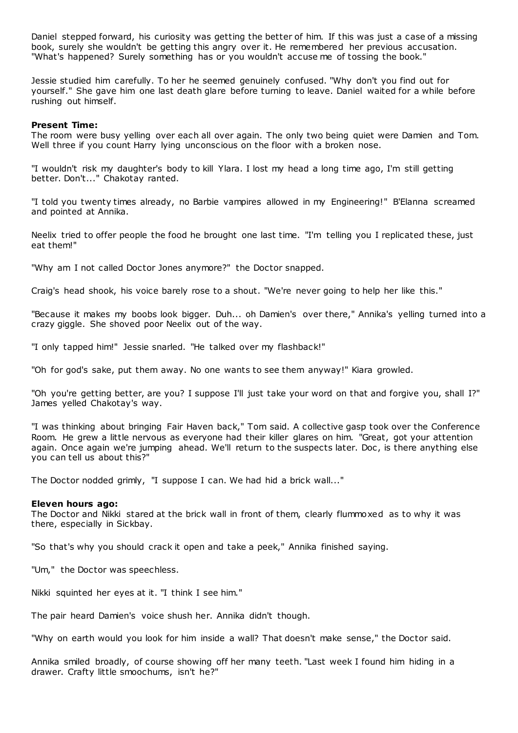Daniel stepped forward, his curiosity was getting the better of him. If this was just a case of a missing book, surely she wouldn't be getting this angry over it. He remembered her previous accusation. "What's happened? Surely something has or you wouldn't accuse me of tossing the book."

Jessie studied him carefully. To her he seemed genuinely confused. "Why don't you find out for yourself." She gave him one last death glare before turning to leave. Daniel waited for a while before rushing out himself.

## **Present Time:**

The room were busy yelling over each all over again. The only two being quiet were Damien and Tom. Well three if you count Harry lying unconscious on the floor with a broken nose.

"I wouldn't risk my daughter's body to kill Ylara. I lost my head a long time ago, I'm still getting better. Don't..." Chakotay ranted.

"I told you twenty times already, no Barbie vampires allowed in my Engineering!" B'Elanna screamed and pointed at Annika.

Neelix tried to offer people the food he brought one last time. "I'm telling you I replicated these, just eat them!"

"Why am I not called Doctor Jones anymore?" the Doctor snapped.

Craig's head shook, his voice barely rose to a shout. "We're never going to help her like this."

"Because it makes my boobs look bigger. Duh... oh Damien's over there," Annika's yelling turned into a crazy giggle. She shoved poor Neelix out of the way.

"I only tapped him!" Jessie snarled. "He talked over my flashback!"

"Oh for god's sake, put them away. No one wants to see them anyway!" Kiara growled.

"Oh you're getting better, are you? I suppose I'll just take your word on that and forgive you, shall I?" James yelled Chakotay's way.

"I was thinking about bringing Fair Haven back," Tom said. A collective gasp took over the Conference Room. He grew a little nervous as everyone had their killer glares on him. "Great, got your attention again. Once again we're jumping ahead. We'll return to the suspects later. Doc, is there anything else you can tell us about this?"

The Doctor nodded grimly, "I suppose I can. We had hid a brick wall..."

#### **Eleven hours ago:**

The Doctor and Nikki stared at the brick wall in front of them, clearly flummoxed as to why it was there, especially in Sickbay.

"So that's why you should crack it open and take a peek," Annika finished saying.

"Um," the Doctor was speechless.

Nikki squinted her eyes at it. "I think I see him."

The pair heard Damien's voice shush her. Annika didn't though.

"Why on earth would you look for him inside a wall? That doesn't make sense," the Doctor said.

Annika smiled broadly, of course showing off her many teeth. "Last week I found him hiding in a drawer. Crafty little smoochums, isn't he?"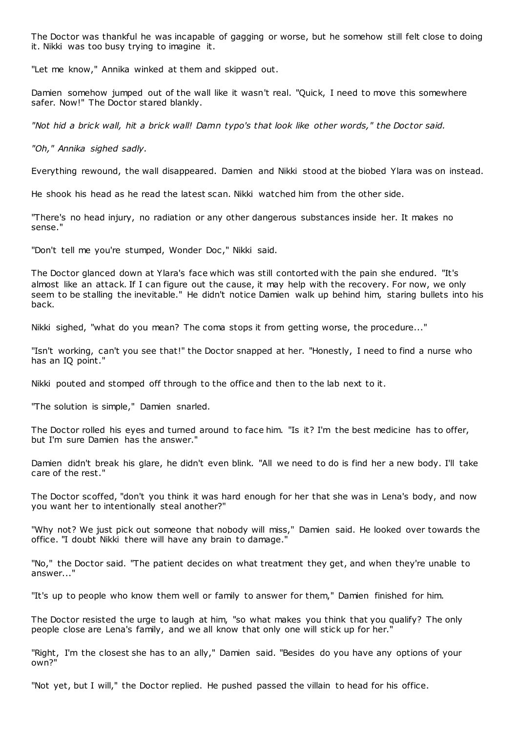The Doctor was thankful he was incapable of gagging or worse, but he somehow still felt close to doing it. Nikki was too busy trying to imagine it.

"Let me know," Annika winked at them and skipped out.

Damien somehow jumped out of the wall like it wasn't real. "Quick, I need to move this somewhere safer. Now!" The Doctor stared blankly.

*"Not hid a brick wall, hit a brick wall! Damn typo's that look like other words," the Doctor said.*

*"Oh," Annika sighed sadly.*

Everything rewound, the wall disappeared. Damien and Nikki stood at the biobed Ylara was on instead.

He shook his head as he read the latest scan. Nikki watched him from the other side.

"There's no head injury, no radiation or any other dangerous substances inside her. It makes no sense."

"Don't tell me you're stumped, Wonder Doc," Nikki said.

The Doctor glanced down at Ylara's face which was still contorted with the pain she endured. "It's almost like an attack. If I can figure out the cause, it may help with the recovery. For now, we only seem to be stalling the inevitable." He didn't notice Damien walk up behind him, staring bullets into his back.

Nikki sighed, "what do you mean? The coma stops it from getting worse, the procedure..."

"Isn't working, can't you see that!" the Doctor snapped at her. "Honestly, I need to find a nurse who has an IQ point."

Nikki pouted and stomped off through to the office and then to the lab next to it.

"The solution is simple," Damien snarled.

The Doctor rolled his eyes and turned around to face him. "Is it? I'm the best medicine has to offer, but I'm sure Damien has the answer."

Damien didn't break his glare, he didn't even blink. "All we need to do is find her a new body. I'll take care of the rest."

The Doctor scoffed, "don't you think it was hard enough for her that she was in Lena's body, and now you want her to intentionally steal another?"

"Why not? We just pick out someone that nobody will miss," Damien said. He looked over towards the office. "I doubt Nikki there will have any brain to damage."

"No," the Doctor said. "The patient decides on what treatment they get, and when they're unable to answer..."

"It's up to people who know them well or family to answer for them," Damien finished for him.

The Doctor resisted the urge to laugh at him, "so what makes you think that you qualify? The only people close are Lena's family, and we all know that only one will stick up for her."

"Right, I'm the closest she has to an ally," Damien said. "Besides do you have any options of your own?"

"Not yet, but I will," the Doctor replied. He pushed passed the villain to head for his office.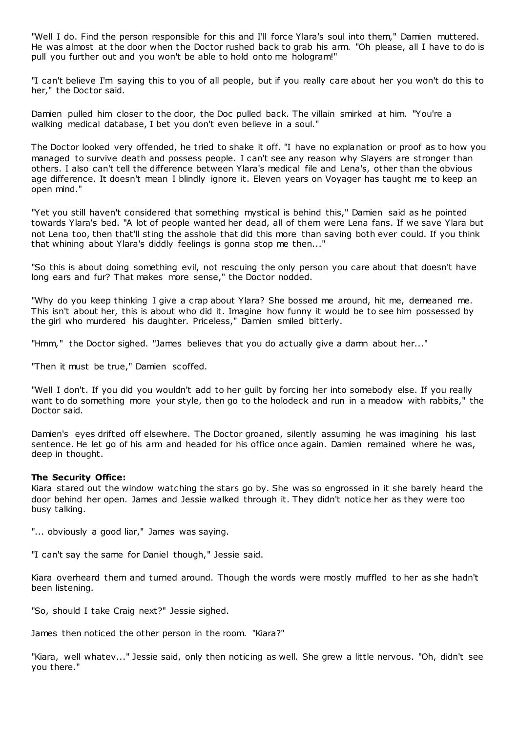"Well I do. Find the person responsible for this and I'll force Ylara's soul into them," Damien muttered. He was almost at the door when the Doctor rushed back to grab his arm. "Oh please, all I have to do is pull you further out and you won't be able to hold onto me hologram!"

"I can't believe I'm saying this to you of all people, but if you really care about her you won't do this to her," the Doctor said.

Damien pulled him closer to the door, the Doc pulled back. The villain smirked at him. "You're a walking medical database, I bet you don't even believe in a soul."

The Doctor looked very offended, he tried to shake it off. "I have no explanation or proof as to how you managed to survive death and possess people. I can't see any reason why Slayers are stronger than others. I also can't tell the difference between Ylara's medical file and Lena's, other than the obvious age difference. It doesn't mean I blindly ignore it. Eleven years on Voyager has taught me to keep an open mind."

"Yet you still haven't considered that something mystical is behind this," Damien said as he pointed towards Ylara's bed. "A lot of people wanted her dead, all of them were Lena fans. If we save Ylara but not Lena too, then that'll sting the asshole that did this more than saving both ever could. If you think that whining about Ylara's diddly feelings is gonna stop me then..."

"So this is about doing something evil, not rescuing the only person you care about that doesn't have long ears and fur? That makes more sense," the Doctor nodded.

"Why do you keep thinking I give a crap about Ylara? She bossed me around, hit me, demeaned me. This isn't about her, this is about who did it. Imagine how funny it would be to see him possessed by the girl who murdered his daughter. Priceless," Damien smiled bitterly.

"Hmm," the Doctor sighed. "James believes that you do actually give a damn about her..."

"Then it must be true," Damien scoffed.

"Well I don't. If you did you wouldn't add to her guilt by forcing her into somebody else. If you really want to do something more your style, then go to the holodeck and run in a meadow with rabbits," the Doctor said.

Damien's eyes drifted off elsewhere. The Doctor groaned, silently assuming he was imagining his last sentence. He let go of his arm and headed for his office once again. Damien remained where he was, deep in thought.

## **The Security Office:**

Kiara stared out the window watching the stars go by. She was so engrossed in it she barely heard the door behind her open. James and Jessie walked through it. They didn't notice her as they were too busy talking.

"... obviously a good liar," James was saying.

"I can't say the same for Daniel though," Jessie said.

Kiara overheard them and turned around. Though the words were mostly muffled to her as she hadn't been listening.

"So, should I take Craig next?" Jessie sighed.

James then noticed the other person in the room. "Kiara?"

"Kiara, well whatev..." Jessie said, only then noticing as well. She grew a little nervous. "Oh, didn't see you there."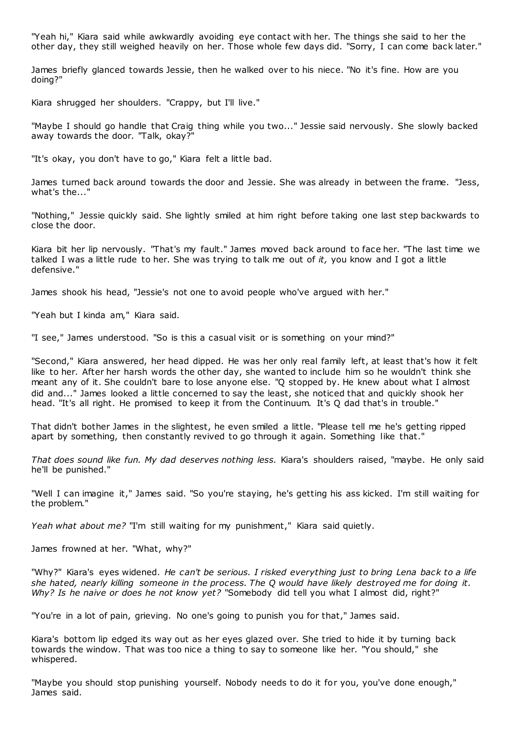"Yeah hi," Kiara said while awkwardly avoiding eye contact with her. The things she said to her the other day, they still weighed heavily on her. Those whole few days did. "Sorry, I can come back later."

James briefly glanced towards Jessie, then he walked over to his niece. "No it's fine. How are you doing?"

Kiara shrugged her shoulders. "Crappy, but I'll live."

"Maybe I should go handle that Craig thing while you two..." Jessie said nervously. She slowly backed away towards the door. "Talk, okay?"

"It's okay, you don't have to go," Kiara felt a little bad.

James turned back around towards the door and Jessie. She was already in between the frame. "Jess, what's the..."

"Nothing," Jessie quickly said. She lightly smiled at him right before taking one last step backwards to close the door.

Kiara bit her lip nervously. "That's my fault." James moved back around to face her. "The last time we talked I was a little rude to her. She was trying to talk me out of *it,* you know and I got a little defensive."

James shook his head, "Jessie's not one to avoid people who've argued with her."

"Yeah but I kinda am," Kiara said.

"I see," James understood. "So is this a casual visit or is something on your mind?"

"Second," Kiara answered, her head dipped. He was her only real family left, at least that's how it felt like to her. After her harsh words the other day, she wanted to include him so he wouldn't think she meant any of it. She couldn't bare to lose anyone else. "Q stopped by. He knew about what I almost did and..." James looked a little concerned to say the least, she noticed that and quickly shook her head. "It's all right. He promised to keep it from the Continuum. It's Q dad that's in trouble."

That didn't bother James in the slightest, he even smiled a little. "Please tell me he's getting ripped apart by something, then constantly revived to go through it again. Something like that."

*That does sound like fun. My dad deserves nothing less.* Kiara's shoulders raised, "maybe. He only said he'll be punished."

"Well I can imagine it," James said. "So you're staying, he's getting his ass kicked. I'm still waiting for the problem."

*Yeah what about me?* "I'm still waiting for my punishment," Kiara said quietly.

James frowned at her. "What, why?"

"Why?" Kiara's eyes widened. *He can't be serious. I risked everything just to bring Lena back to a life she hated, nearly killing someone in the process. The Q would have likely destroyed me for doing it. Why? Is he naive or does he not know yet?* "Somebody did tell you what I almost did, right?"

"You're in a lot of pain, grieving. No one's going to punish you for that," James said.

Kiara's bottom lip edged its way out as her eyes glazed over. She tried to hide it by turning back towards the window. That was too nice a thing to say to someone like her. "You should," she whispered.

"Maybe you should stop punishing yourself. Nobody needs to do it for you, you've done enough," James said.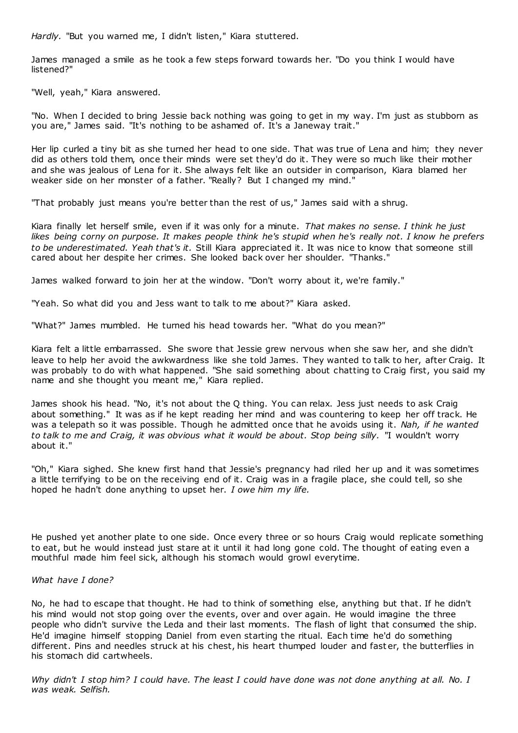*Hardly.* "But you warned me, I didn't listen," Kiara stuttered.

James managed a smile as he took a few steps forward towards her. "Do you think I would have listened?"

"Well, yeah," Kiara answered.

"No. When I decided to bring Jessie back nothing was going to get in my way. I'm just as stubborn as you are," James said. "It's nothing to be ashamed of. It's a Janeway trait."

Her lip curled a tiny bit as she turned her head to one side. That was true of Lena and him; they never did as others told them, once their minds were set they'd do it. They were so much like their mother and she was jealous of Lena for it. She always felt like an outsider in comparison, Kiara blamed her weaker side on her monster of a father. "Really? But I changed my mind."

"That probably just means you're better than the rest of us," James said with a shrug.

Kiara finally let herself smile, even if it was only for a minute. *That makes no sense. I think he just likes being corny on purpose. It makes people think he's stupid when he's really not. I know he prefers to be underestimated. Yeah that's it.* Still Kiara appreciated it. It was nice to know that someone still cared about her despite her crimes. She looked back over her shoulder. "Thanks."

James walked forward to join her at the window. "Don't worry about it, we're family."

"Yeah. So what did you and Jess want to talk to me about?" Kiara asked.

"What?" James mumbled. He turned his head towards her. "What do you mean?"

Kiara felt a little embarrassed. She swore that Jessie grew nervous when she saw her, and she didn't leave to help her avoid the awkwardness like she told James. They wanted to talk to her, after Craig. It was probably to do with what happened. "She said something about chatting to Craig first, you said my name and she thought you meant me," Kiara replied.

James shook his head. "No, it's not about the Q thing. You can relax. Jess just needs to ask Craig about something." It was as if he kept reading her mind and was countering to keep her off track. He was a telepath so it was possible. Though he admitted once that he avoids using it. *Nah, if he wanted*  to talk to me and Craig, it was obvious what it would be about. Stop being silly. "I wouldn't worry about it."

"Oh," Kiara sighed. She knew first hand that Jessie's pregnancy had riled her up and it was sometimes a little terrifying to be on the receiving end of it. Craig was in a fragile place, she could tell, so she hoped he hadn't done anything to upset her. *I owe him my life.*

He pushed yet another plate to one side. Once every three or so hours Craig would replicate something to eat, but he would instead just stare at it until it had long gone cold. The thought of eating even a mouthful made him feel sick, although his stomach would growl everytime.

# *What have I done?*

No, he had to escape that thought. He had to think of something else, anything but that. If he didn't his mind would not stop going over the events, over and over again. He would imagine the three people who didn't survive the Leda and their last moments. The flash of light that consumed the ship. He'd imagine himself stopping Daniel from even starting the ritual. Each time he'd do something different. Pins and needles struck at his chest, his heart thumped louder and fast er, the butterflies in his stomach did cartwheels.

*Why didn't I stop him? I could have. The least I could have done was not done anything at all. No. I was weak. Selfish.*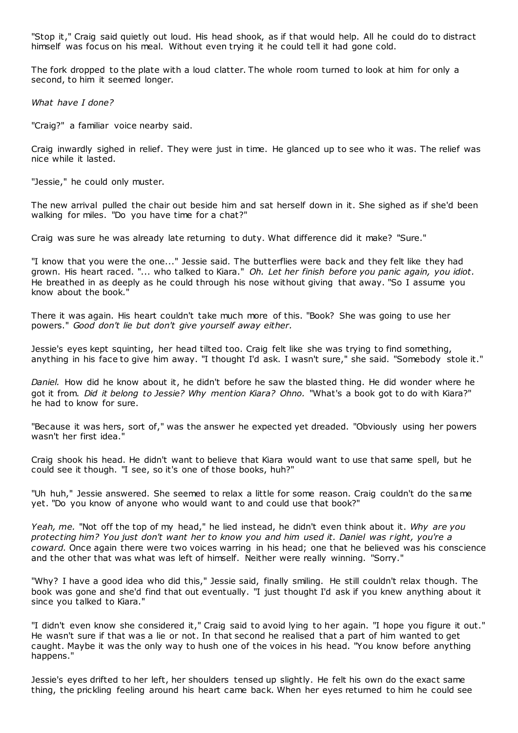"Stop it," Craig said quietly out loud. His head shook, as if that would help. All he could do to distract himself was focus on his meal. Without even trying it he could tell it had gone cold.

The fork dropped to the plate with a loud clatter. The whole room turned to look at him for only a second, to him it seemed longer.

*What have I done?*

"Craig?" a familiar voice nearby said.

Craig inwardly sighed in relief. They were just in time. He glanced up to see who it was. The relief was nice while it lasted.

"Jessie," he could only muster.

The new arrival pulled the chair out beside him and sat herself down in it. She sighed as if she'd been walking for miles. "Do you have time for a chat?"

Craig was sure he was already late returning to duty. What difference did it make? "Sure."

"I know that you were the one..." Jessie said. The butterflies were back and they felt like they had grown. His heart raced. "... who talked to Kiara." *Oh. Let her finish before you panic again, you idiot.* He breathed in as deeply as he could through his nose without giving that away. "So I assume you know about the book."

There it was again. His heart couldn't take much more of this. "Book? She was going to use her powers." *Good don't lie but don't give yourself away either.*

Jessie's eyes kept squinting, her head tilted too. Craig felt like she was trying to find something, anything in his face to give him away. "I thought I'd ask. I wasn't sure," she said. "Somebody stole it."

*Daniel.* How did he know about it, he didn't before he saw the blasted thing. He did wonder where he got it from. *Did it belong to Jessie? Why mention Kiara? Ohno.* "What's a book got to do with Kiara?" he had to know for sure.

"Because it was hers, sort of," was the answer he expected yet dreaded. "Obviously using her powers wasn't her first idea."

Craig shook his head. He didn't want to believe that Kiara would want to use that same spell, but he could see it though. "I see, so it's one of those books, huh?"

"Uh huh," Jessie answered. She seemed to relax a little for some reason. Craig couldn't do the same yet. "Do you know of anyone who would want to and could use that book?"

*Yeah, me.* "Not off the top of my head," he lied instead, he didn't even think about it. *Why are you protecting him? You just don't want her to know you and him used it. Daniel was r ight, you're a coward.* Once again there were two voices warring in his head; one that he believed was his conscience and the other that was what was left of himself. Neither were really winning. "Sorry."

"Why? I have a good idea who did this," Jessie said, finally smiling. He still couldn't relax though. The book was gone and she'd find that out eventually. "I just thought I'd ask if you knew anything about it since you talked to Kiara."

"I didn't even know she considered it," Craig said to avoid lying to her again. "I hope you figure it out." He wasn't sure if that was a lie or not. In that second he realised that a part of him wanted to get caught. Maybe it was the only way to hush one of the voices in his head. "You know before anything happens."

Jessie's eyes drifted to her left, her shoulders tensed up slightly. He felt his own do the exact same thing, the prickling feeling around his heart came back. When her eyes returned to him he could see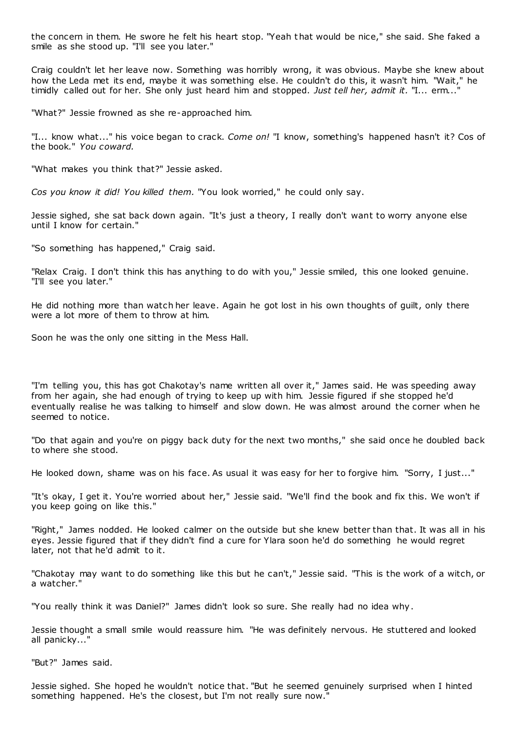the concern in them. He swore he felt his heart stop. "Yeah that would be nice," she said. She faked a smile as she stood up. "I'll see you later."

Craig couldn't let her leave now. Something was horribly wrong, it was obvious. Maybe she knew about how the Leda met its end, maybe it was something else. He couldn't do this, it wasn't him. "Wait," he timidly called out for her. She only just heard him and stopped. *Just tell her, admit it.* "I... erm..."

"What?" Jessie frowned as she re-approached him.

"I... know what..." his voice began to crack. *Come on!* "I know, something's happened hasn't it? Cos of the book." *You coward.*

"What makes you think that?" Jessie asked.

*Cos you know it did! You killed them.* "You look worried," he could only say.

Jessie sighed, she sat back down again. "It's just a theory, I really don't want to worry anyone else until I know for certain."

"So something has happened," Craig said.

"Relax Craig. I don't think this has anything to do with you," Jessie smiled, this one looked genuine. "I'll see you later."

He did nothing more than watch her leave. Again he got lost in his own thoughts of guilt, only there were a lot more of them to throw at him.

Soon he was the only one sitting in the Mess Hall.

"I'm telling you, this has got Chakotay's name written all over it," James said. He was speeding away from her again, she had enough of trying to keep up with him. Jessie figured if she stopped he'd eventually realise he was talking to himself and slow down. He was almost around the corner when he seemed to notice.

"Do that again and you're on piggy back duty for the next two months," she said once he doubled back to where she stood.

He looked down, shame was on his face. As usual it was easy for her to forgive him. "Sorry, I just..."

"It's okay, I get it. You're worried about her," Jessie said. "We'll find the book and fix this. We won't if you keep going on like this."

"Right," James nodded. He looked calmer on the outside but she knew better than that. It was all in his eyes. Jessie figured that if they didn't find a cure for Ylara soon he'd do something he would regret later, not that he'd admit to it.

"Chakotay may want to do something like this but he can't," Jessie said. "This is the work of a witch, or a watcher."

"You really think it was Daniel?" James didn't look so sure. She really had no idea why.

Jessie thought a small smile would reassure him. "He was definitely nervous. He stuttered and looked all panicky..."

"But?" James said.

Jessie sighed. She hoped he wouldn't notice that. "But he seemed genuinely surprised when I hinted something happened. He's the closest, but I'm not really sure now."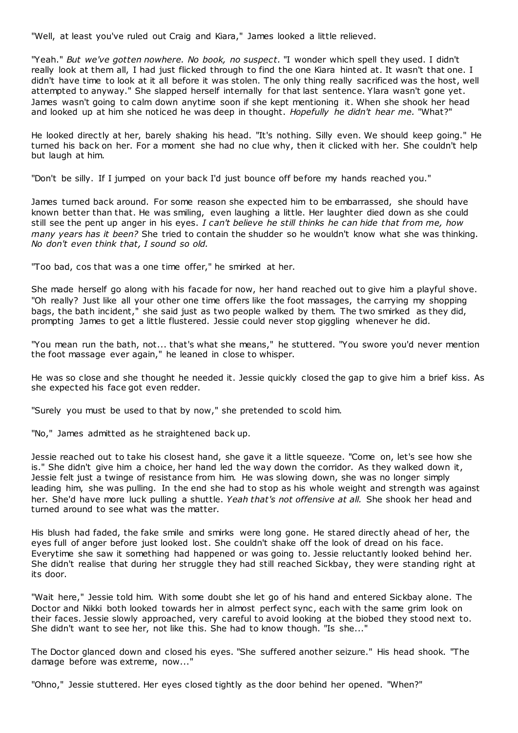"Well, at least you've ruled out Craig and Kiara," James looked a little relieved.

"Yeah." *But we've gotten nowhere. No book, no suspect.* "I wonder which spell they used. I didn't really look at them all, I had just flicked through to find the one Kiara hinted at. It wasn't that one. I didn't have time to look at it all before it was stolen. The only thing really sacrificed was the host, well attempted to anyway." She slapped herself internally for that last sentence. Ylara wasn't gone yet. James wasn't going to calm down anytime soon if she kept mentioning it. When she shook her head and looked up at him she noticed he was deep in thought. *Hopefully he didn't hear me.* "What?"

He looked directly at her, barely shaking his head. "It's nothing. Silly even. We should keep going." He turned his back on her. For a moment she had no clue why, then it clicked with her. She couldn't help but laugh at him.

"Don't be silly. If I jumped on your back I'd just bounce off before my hands reached you."

James turned back around. For some reason she expected him to be embarrassed, she should have known better than that. He was smiling, even laughing a little. Her laughter died down as she could still see the pent up anger in his eyes. *I can't believe he still thinks he can hide that from me, how many years has it been?* She tried to contain the shudder so he wouldn't know what she was thinking. *No don't even think that, I sound so old.*

"Too bad, cos that was a one time offer," he smirked at her.

She made herself go along with his facade for now, her hand reached out to give him a playful shove. "Oh really? Just like all your other one time offers like the foot massages, the carrying my shopping bags, the bath incident," she said just as two people walked by them. The two smirked as they did, prompting James to get a little flustered. Jessie could never stop giggling whenever he did.

"You mean run the bath, not... that's what she means," he stuttered. "You swore you'd never mention the foot massage ever again," he leaned in close to whisper.

He was so close and she thought he needed it. Jessie quickly closed the gap to give him a brief kiss. As she expected his face got even redder.

"Surely you must be used to that by now," she pretended to scold him.

"No," James admitted as he straightened back up.

Jessie reached out to take his closest hand, she gave it a little squeeze. "Come on, let's see how she is." She didn't give him a choice, her hand led the way down the corridor. As they walked down it, Jessie felt just a twinge of resistance from him. He was slowing down, she was no longer simply leading him, she was pulling. In the end she had to stop as his whole weight and strength was against her. She'd have more luck pulling a shuttle. *Yeah that's not offensive at all.* She shook her head and turned around to see what was the matter.

His blush had faded, the fake smile and smirks were long gone. He stared directly ahead of her, the eyes full of anger before just looked lost. She couldn't shake off the look of dread on his face. Everytime she saw it something had happened or was going to. Jessie reluctantly looked behind her. She didn't realise that during her struggle they had still reached Sickbay, they were standing right at its door.

"Wait here," Jessie told him. With some doubt she let go of his hand and entered Sickbay alone. The Doctor and Nikki both looked towards her in almost perfect sync, each with the same grim look on their faces. Jessie slowly approached, very careful to avoid looking at the biobed they stood next to. She didn't want to see her, not like this. She had to know though. "Is she..."

The Doctor glanced down and closed his eyes. "She suffered another seizure." His head shook. "The damage before was extreme, now..."

"Ohno," Jessie stuttered. Her eyes closed tightly as the door behind her opened. "When?"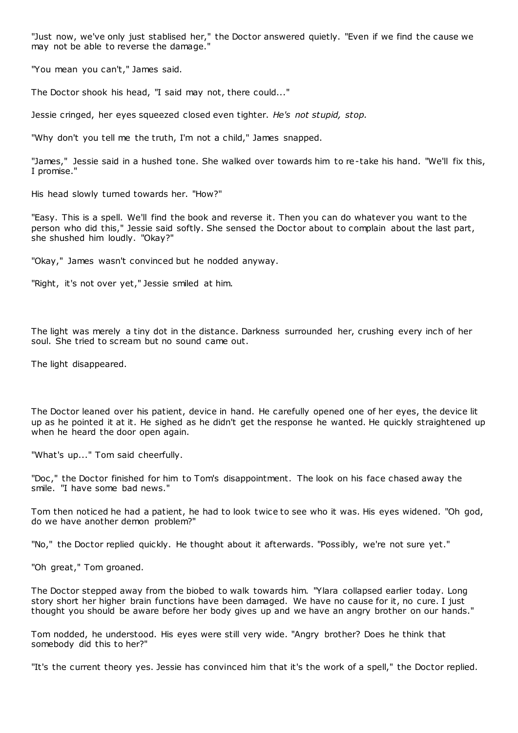"Just now, we've only just stablised her," the Doctor answered quietly. "Even if we find the cause we may not be able to reverse the damage."

"You mean you can't," James said.

The Doctor shook his head, "I said may not, there could..."

Jessie cringed, her eyes squeezed closed even tighter. *He's not stupid, stop.*

"Why don't you tell me the truth, I'm not a child," James snapped.

"James," Jessie said in a hushed tone. She walked over towards him to re-take his hand. "We'll fix this, I promise."

His head slowly turned towards her. "How?"

"Easy. This is a spell. We'll find the book and reverse it. Then you can do whatever you want to the person who did this," Jessie said softly. She sensed the Doctor about to complain about the last part, she shushed him loudly. "Okay?"

"Okay," James wasn't convinced but he nodded anyway.

"Right, it's not over yet," Jessie smiled at him.

The light was merely a tiny dot in the distance. Darkness surrounded her, crushing every inch of her soul. She tried to scream but no sound came out.

The light disappeared.

The Doctor leaned over his patient, device in hand. He carefully opened one of her eyes, the device lit up as he pointed it at it. He sighed as he didn't get the response he wanted. He quickly straightened up when he heard the door open again.

"What's up..." Tom said cheerfully.

"Doc ," the Doctor finished for him to Tom's disappointment. The look on his face chased away the smile. "I have some bad news."

Tom then noticed he had a patient, he had to look twice to see who it was. His eyes widened. "Oh god, do we have another demon problem?"

"No," the Doctor replied quickly. He thought about it afterwards. "Possibly, we're not sure yet."

"Oh great," Tom groaned.

The Doctor stepped away from the biobed to walk towards him. "Ylara collapsed earlier today. Long story short her higher brain functions have been damaged. We have no cause for it, no cure. I just thought you should be aware before her body gives up and we have an angry brother on our hands."

Tom nodded, he understood. His eyes were still very wide. "Angry brother? Does he think that somebody did this to her?"

"It's the current theory yes. Jessie has convinced him that it's the work of a spell," the Doctor replied.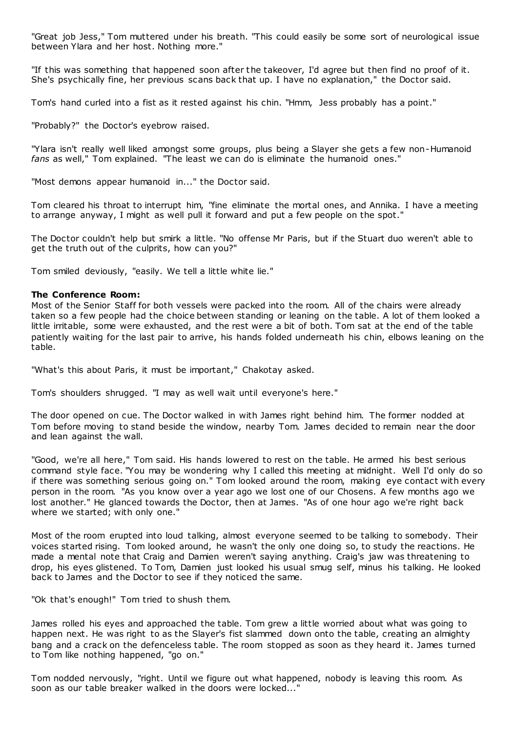"Great job Jess," Tom muttered under his breath. "This could easily be some sort of neurological issue between Ylara and her host. Nothing more."

"If this was something that happened soon after the takeover, I'd agree but then find no proof of it. She's psychically fine, her previous scans back that up. I have no explanation," the Doctor said.

Tom's hand curled into a fist as it rested against his chin. "Hmm, Jess probably has a point."

"Probably?" the Doctor's eyebrow raised.

"Ylara isn't really well liked amongst some groups, plus being a Slayer she gets a few non-Humanoid *fans* as well," Tom explained. "The least we can do is eliminate the humanoid ones."

"Most demons appear humanoid in..." the Doctor said.

Tom cleared his throat to interrupt him, "fine eliminate the mortal ones, and Annika. I have a meeting to arrange anyway, I might as well pull it forward and put a few people on the spot."

The Doctor couldn't help but smirk a little. "No offense Mr Paris, but if the Stuart duo weren't able to get the truth out of the culprits, how can you?"

Tom smiled deviously, "easily. We tell a little white lie."

## **The Conference Room:**

Most of the Senior Staff for both vessels were packed into the room. All of the chairs were already taken so a few people had the choice between standing or leaning on the table. A lot of them looked a little irritable, some were exhausted, and the rest were a bit of both. Tom sat at the end of the table patiently waiting for the last pair to arrive, his hands folded underneath his chin, elbows leaning on the table.

"What's this about Paris, it must be important," Chakotay asked.

Tom's shoulders shrugged. "I may as well wait until everyone's here."

The door opened on cue. The Doctor walked in with James right behind him. The former nodded at Tom before moving to stand beside the window, nearby Tom. James decided to remain near the door and lean against the wall.

"Good, we're all here," Tom said. His hands lowered to rest on the table. He armed his best serious command style face. "You may be wondering why I called this meeting at midnight. Well I'd only do so if there was something serious going on." Tom looked around the room, making eye contact with every person in the room. "As you know over a year ago we lost one of our Chosens. A few months ago we lost another." He glanced towards the Doctor, then at James. "As of one hour ago we're right back where we started; with only one."

Most of the room erupted into loud talking, almost everyone seemed to be talking to somebody. Their voices started rising. Tom looked around, he wasn't the only one doing so, to study the reactions. He made a mental note that Craig and Damien weren't saying anything. Craig's jaw was threatening to drop, his eyes glistened. To Tom, Damien just looked his usual smug self, minus his talking. He looked back to James and the Doctor to see if they noticed the same.

"Ok that's enough!" Tom tried to shush them.

James rolled his eyes and approached the table. Tom grew a little worried about what was going to happen next. He was right to as the Slayer's fist slammed down onto the table, creating an almighty bang and a crack on the defenceless table. The room stopped as soon as they heard it. James turned to Tom like nothing happened, "go on."

Tom nodded nervously, "right. Until we figure out what happened, nobody is leaving this room. As soon as our table breaker walked in the doors were locked..."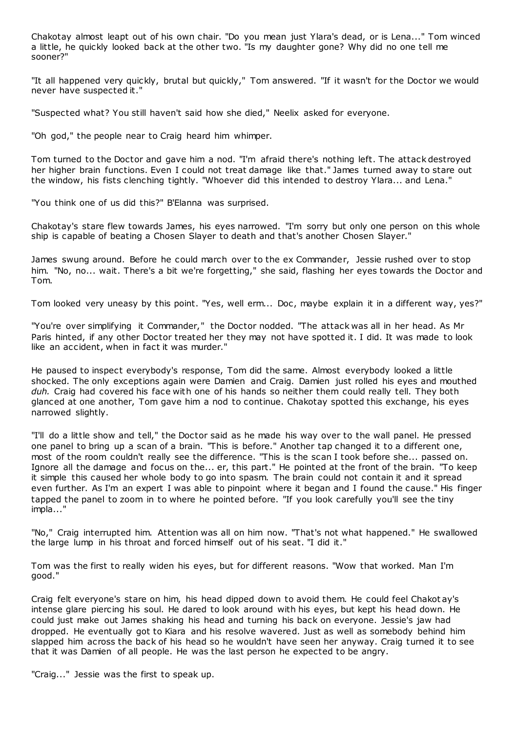Chakotay almost leapt out of his own chair. "Do you mean just Ylara's dead, or is Lena..." Tom winced a little, he quickly looked back at the other two. "Is my daughter gone? Why did no one tell me sooner?"

"It all happened very quickly, brutal but quickly," Tom answered. "If it wasn't for the Doctor we would never have suspected it."

"Suspected what? You still haven't said how she died," Neelix asked for everyone.

"Oh god," the people near to Craig heard him whimper.

Tom turned to the Doctor and gave him a nod. "I'm afraid there's nothing left. The attack destroyed her higher brain functions. Even I could not treat damage like that." James turned away to stare out the window, his fists clenching tightly. "Whoever did this intended to destroy Ylara... and Lena."

"You think one of us did this?" B'Elanna was surprised.

Chakotay's stare flew towards James, his eyes narrowed. "I'm sorry but only one person on this whole ship is capable of beating a Chosen Slayer to death and that's another Chosen Slayer."

James swung around. Before he could march over to the ex Commander, Jessie rushed over to stop him. "No, no... wait. There's a bit we're forgetting," she said, flashing her eyes towards the Doctor and Tom.

Tom looked very uneasy by this point. "Yes, well erm... Doc, maybe explain it in a different way, yes?"

"You're over simplifying it Commander," the Doctor nodded. "The attack was all in her head. As Mr Paris hinted, if any other Doctor treated her they may not have spotted it. I did. It was made to look like an accident, when in fact it was murder."

He paused to inspect everybody's response, Tom did the same. Almost everybody looked a little shocked. The only exceptions again were Damien and Craig. Damien just rolled his eyes and mouthed *duh.* Craig had covered his face with one of his hands so neither them could really tell. They both glanced at one another, Tom gave him a nod to continue. Chakotay spotted this exchange, his eyes narrowed slightly.

"I'll do a little show and tell," the Doctor said as he made his way over to the wall panel. He pressed one panel to bring up a scan of a brain. "This is before." Another tap changed it to a different one, most of the room couldn't really see the difference. "This is the scan I took before she... passed on. Ignore all the damage and focus on the... er, this part." He pointed at the front of the brain. "To keep it simple this caused her whole body to go into spasm. The brain could not contain it and it spread even further. As I'm an expert I was able to pinpoint where it began and I found the cause." His finger tapped the panel to zoom in to where he pointed before. "If you look carefully you'll see the tiny impla..."

"No," Craig interrupted him. Attention was all on him now. "That's not what happened." He swallowed the large lump in his throat and forced himself out of his seat. "I did it."

Tom was the first to really widen his eyes, but for different reasons. "Wow that worked. Man I'm good."

Craig felt everyone's stare on him, his head dipped down to avoid them. He could feel Chakot ay's intense glare piercing his soul. He dared to look around with his eyes, but kept his head down. He could just make out James shaking his head and turning his back on everyone. Jessie's jaw had dropped. He eventually got to Kiara and his resolve wavered. Just as well as somebody behind him slapped him across the back of his head so he wouldn't have seen her anyway. Craig turned it to see that it was Damien of all people. He was the last person he expected to be angry.

"Craig..." Jessie was the first to speak up.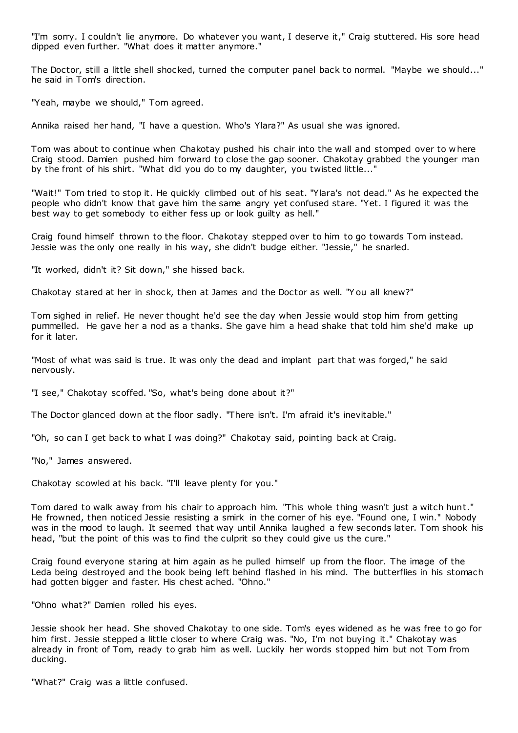"I'm sorry. I couldn't lie anymore. Do whatever you want, I deserve it," Craig stuttered. His sore head dipped even further. "What does it matter anymore."

The Doctor, still a little shell shocked, turned the computer panel back to normal. "Maybe we should..." he said in Tom's direction.

"Yeah, maybe we should," Tom agreed.

Annika raised her hand, "I have a question. Who's Ylara?" As usual she was ignored.

Tom was about to continue when Chakotay pushed his chair into the wall and stomped over to w here Craig stood. Damien pushed him forward to close the gap sooner. Chakotay grabbed the younger man by the front of his shirt. "What did you do to my daughter, you twisted little..."

"Wait!" Tom tried to stop it. He quickly climbed out of his seat. "Ylara's not dead." As he expected the people who didn't know that gave him the same angry yet confused stare. "Yet. I figured it was the best way to get somebody to either fess up or look guilty as hell."

Craig found himself thrown to the floor. Chakotay stepped over to him to go towards Tom instead. Jessie was the only one really in his way, she didn't budge either. "Jessie," he snarled.

"It worked, didn't it? Sit down," she hissed back.

Chakotay stared at her in shock, then at James and the Doctor as well. "Y ou all knew?"

Tom sighed in relief. He never thought he'd see the day when Jessie would stop him from getting pummelled. He gave her a nod as a thanks. She gave him a head shake that told him she'd make up for it later.

"Most of what was said is true. It was only the dead and implant part that was forged," he said nervously.

"I see," Chakotay scoffed. "So, what's being done about it?"

The Doctor glanced down at the floor sadly. "There isn't. I'm afraid it's inevitable."

"Oh, so can I get back to what I was doing?" Chakotay said, pointing back at Craig.

"No," James answered.

Chakotay scowled at his back. "I'll leave plenty for you."

Tom dared to walk away from his chair to approach him. "This whole thing wasn't just a witch hunt." He frowned, then noticed Jessie resisting a smirk in the corner of his eye. "Found one, I win." Nobody was in the mood to laugh. It seemed that way until Annika laughed a few seconds later. Tom shook his head, "but the point of this was to find the culprit so they could give us the cure."

Craig found everyone staring at him again as he pulled himself up from the floor. The image of the Leda being destroyed and the book being left behind flashed in his mind. The butterflies in his stomach had gotten bigger and faster. His chest ached. "Ohno."

"Ohno what?" Damien rolled his eyes.

Jessie shook her head. She shoved Chakotay to one side. Tom's eyes widened as he was free to go for him first. Jessie stepped a little closer to where Craig was. "No, I'm not buying it." Chakotay was already in front of Tom, ready to grab him as well. Luckily her words stopped him but not Tom from ducking.

"What?" Craig was a little confused.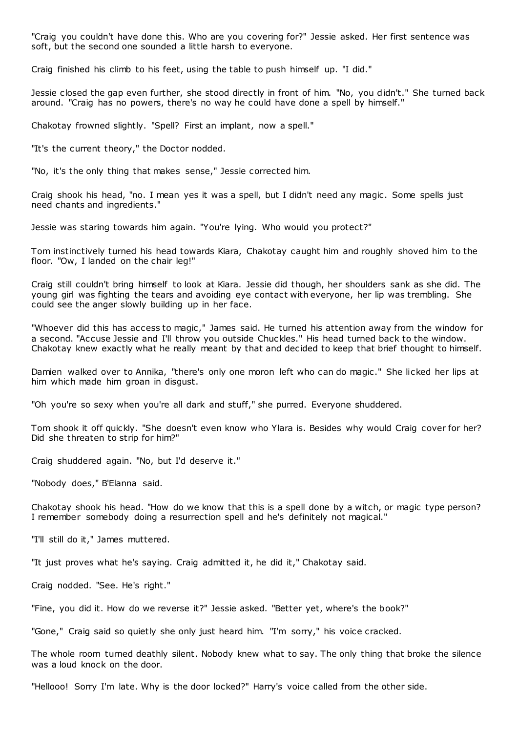"Craig you couldn't have done this. Who are you covering for?" Jessie asked. Her first sentence was soft, but the second one sounded a little harsh to everyone.

Craig finished his climb to his feet, using the table to push himself up. "I did."

Jessie closed the gap even further, she stood directly in front of him. "No, you didn't." She turned back around. "Craig has no powers, there's no way he could have done a spell by himself."

Chakotay frowned slightly. "Spell? First an implant, now a spell."

"It's the current theory," the Doctor nodded.

"No, it's the only thing that makes sense," Jessie corrected him.

Craig shook his head, "no. I mean yes it was a spell, but I didn't need any magic . Some spells just need chants and ingredients."

Jessie was staring towards him again. "You're lying. Who would you protect?"

Tom instinctively turned his head towards Kiara, Chakotay caught him and roughly shoved him to the floor. "Ow, I landed on the chair leg!"

Craig still couldn't bring himself to look at Kiara. Jessie did though, her shoulders sank as she did. The young girl was fighting the tears and avoiding eye contact with everyone, her lip was trembling. She could see the anger slowly building up in her face.

"Whoever did this has access to magic ," James said. He turned his attention away from the window for a second. "Accuse Jessie and I'll throw you outside Chuckles." His head turned back to the window. Chakotay knew exactly what he really meant by that and decided to keep that brief thought to himself.

Damien walked over to Annika, "there's only one moron left who can do magic ." She licked her lips at him which made him groan in disgust.

"Oh you're so sexy when you're all dark and stuff," she purred. Everyone shuddered.

Tom shook it off quickly. "She doesn't even know who Ylara is. Besides why would Craig cover for her? Did she threaten to strip for him?"

Craig shuddered again. "No, but I'd deserve it."

"Nobody does," B'Elanna said.

Chakotay shook his head. "How do we know that this is a spell done by a witch, or magic type person? I remember somebody doing a resurrection spell and he's definitely not magical."

"I'll still do it," James muttered.

"It just proves what he's saying. Craig admitted it, he did it," Chakotay said.

Craig nodded. "See. He's right."

"Fine, you did it. How do we reverse it?" Jessie asked. "Better yet, where's the book?"

"Gone," Craig said so quietly she only just heard him. "I'm sorry," his voice cracked.

The whole room turned deathly silent. Nobody knew what to say. The only thing that broke the silence was a loud knock on the door.

"Hellooo! Sorry I'm late. Why is the door locked?" Harry's voice called from the other side.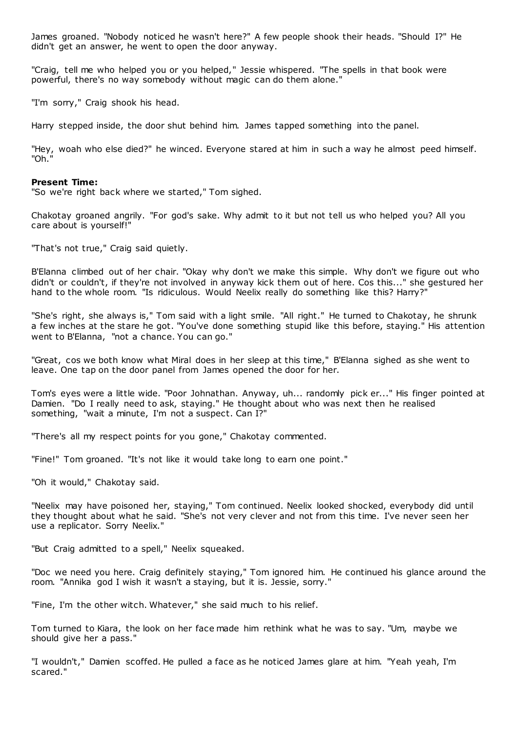James groaned. "Nobody noticed he wasn't here?" A few people shook their heads. "Should I?" He didn't get an answer, he went to open the door anyway.

"Craig, tell me who helped you or you helped," Jessie whispered. "The spells in that book were powerful, there's no way somebody without magic can do them alone."

"I'm sorry," Craig shook his head.

Harry stepped inside, the door shut behind him. James tapped something into the panel.

"Hey, woah who else died?" he winced. Everyone stared at him in such a way he almost peed himself. "Oh."

#### **Present Time:**

"So we're right back where we started," Tom sighed.

Chakotay groaned angrily. "For god's sake. Why admit to it but not tell us who helped you? All you care about is yourself!"

"That's not true," Craig said quietly.

B'Elanna climbed out of her chair. "Okay why don't we make this simple. Why don't we figure out who didn't or couldn't, if they're not involved in anyway kick them out of here. Cos this..." she gestured her hand to the whole room. "Is ridiculous. Would Neelix really do something like this? Harry?"

"She's right, she always is," Tom said with a light smile. "All right." He turned to Chakotay, he shrunk a few inches at the stare he got. "You've done something stupid like this before, staying." His attention went to B'Elanna, "not a chance. You can go."

"Great, cos we both know what Miral does in her sleep at this time," B'Elanna sighed as she went to leave. One tap on the door panel from James opened the door for her.

Tom's eyes were a little wide. "Poor Johnathan. Anyway, uh... randomly pick er..." His finger pointed at Damien. "Do I really need to ask, staying." He thought about who was next then he realised something, "wait a minute, I'm not a suspect. Can I?"

"There's all my respect points for you gone," Chakotay commented.

"Fine!" Tom groaned. "It's not like it would take long to earn one point."

"Oh it would," Chakotay said.

"Neelix may have poisoned her, staying," Tom continued. Neelix looked shocked, everybody did until they thought about what he said. "She's not very clever and not from this time. I've never seen her use a replicator. Sorry Neelix."

"But Craig admitted to a spell," Neelix squeaked.

"Doc we need you here. Craig definitely staying," Tom ignored him. He continued his glance around the room. "Annika god I wish it wasn't a staying, but it is. Jessie, sorry."

"Fine, I'm the other witch. Whatever," she said much to his relief.

Tom turned to Kiara, the look on her face made him rethink what he was to say. "Um, maybe we should give her a pass."

"I wouldn't," Damien scoffed. He pulled a face as he noticed James glare at him. "Yeah yeah, I'm scared."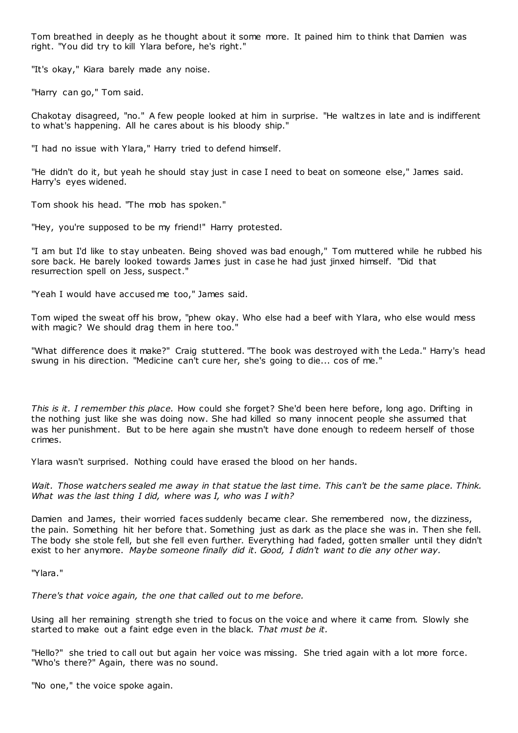Tom breathed in deeply as he thought about it some more. It pained him to think that Damien was right. "You did try to kill Ylara before, he's right."

"It's okay," Kiara barely made any noise.

"Harry can go," Tom said.

Chakotay disagreed, "no." A few people looked at him in surprise. "He waltzes in late and is indifferent to what's happening. All he cares about is his bloody ship."

"I had no issue with Ylara," Harry tried to defend himself.

"He didn't do it, but yeah he should stay just in case I need to beat on someone else," James said. Harry's eyes widened.

Tom shook his head. "The mob has spoken."

"Hey, you're supposed to be my friend!" Harry protested.

"I am but I'd like to stay unbeaten. Being shoved was bad enough," Tom muttered while he rubbed his sore back. He barely looked towards James just in case he had just jinxed himself. "Did that resurrection spell on Jess, suspect."

"Yeah I would have accused me too," James said.

Tom wiped the sweat off his brow, "phew okay. Who else had a beef with Ylara, who else would mess with magic? We should drag them in here too.'

"What difference does it make?" Craig stuttered. "The book was destroyed with the Leda." Harry's head swung in his direction. "Medicine can't cure her, she's going to die... cos of me."

*This is it. I remember this place.* How could she forget? She'd been here before, long ago. Drifting in the nothing just like she was doing now. She had killed so many innocent people she assumed that was her punishment. But to be here again she mustn't have done enough to redeem herself of those crimes.

Ylara wasn't surprised. Nothing could have erased the blood on her hands.

*Wait. Those watchers sealed me away in that statue the last time. This can't be the same place. Think. What was the last thing I did, where was I, who was I with?*

Damien and James, their worried faces suddenly became clear. She remembered now, the dizziness, the pain. Something hit her before that. Something just as dark as the place she was in. Then she fell. The body she stole fell, but she fell even further. Everything had faded, gotten smaller until they didn't exist to her anymore. *Maybe someone finally did it. Good, I didn't want to die any other way.*

"Ylara."

*There's that voice again, the one that called out to me before.*

Using all her remaining strength she tried to focus on the voice and where it came from. Slowly she started to make out a faint edge even in the black. *That must be it.*

"Hello?" she tried to call out but again her voice was missing. She tried again with a lot more force. "Who's there?" Again, there was no sound.

"No one," the voice spoke again.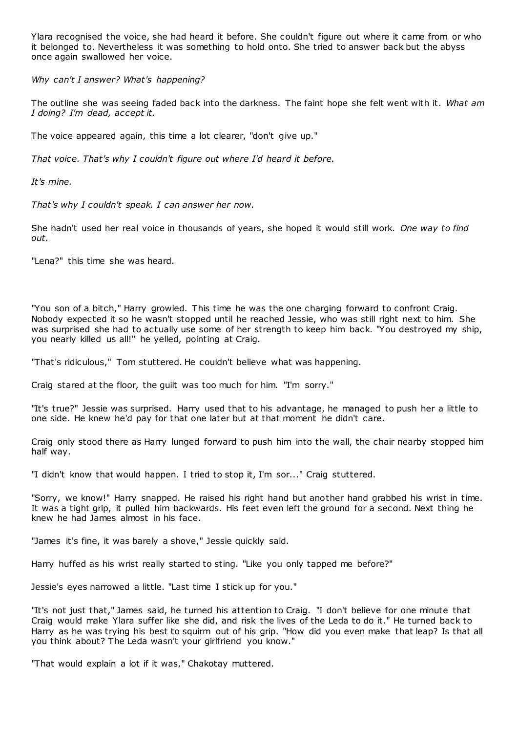Ylara recognised the voice, she had heard it before. She couldn't figure out where it came from or who it belonged to. Nevertheless it was something to hold onto. She tried to answer back but the abyss once again swallowed her voice.

*Why can't I answer? What's happening?*

The outline she was seeing faded back into the darkness. The faint hope she felt went with it. *What am I doing? I'm dead, accept it.*

The voice appeared again, this time a lot clearer, "don't give up."

*That voice. That's why I couldn't figure out where I'd heard it before.*

*It's mine.*

*That's why I couldn't speak. I can answer her now.*

She hadn't used her real voice in thousands of years, she hoped it would still work. *One way to find out.*

"Lena?" this time she was heard.

"You son of a bitch," Harry growled. This time he was the one charging forward to confront Craig. Nobody expected it so he wasn't stopped until he reached Jessie, who was still right next to him. She was surprised she had to actually use some of her strength to keep him back. "You destroyed my ship, you nearly killed us all!" he yelled, pointing at Craig.

"That's ridiculous," Tom stuttered. He couldn't believe what was happening.

Craig stared at the floor, the guilt was too much for him. "I'm sorry."

"It's true?" Jessie was surprised. Harry used that to his advantage, he managed to push her a little to one side. He knew he'd pay for that one later but at that moment he didn't care.

Craig only stood there as Harry lunged forward to push him into the wall, the chair nearby stopped him half way.

"I didn't know that would happen. I tried to stop it, I'm sor..." Craig stuttered.

"Sorry, we know!" Harry snapped. He raised his right hand but another hand grabbed his wrist in time. It was a tight grip, it pulled him backwards. His feet even left the ground for a second. Next thing he knew he had James almost in his face.

"James it's fine, it was barely a shove," Jessie quickly said.

Harry huffed as his wrist really started to sting. "Like you only tapped me before?"

Jessie's eyes narrowed a little. "Last time I stick up for you."

"It's not just that," James said, he turned his attention to Craig. "I don't believe for one minute that Craig would make Ylara suffer like she did, and risk the lives of the Leda to do it." He turned back to Harry as he was trying his best to squirm out of his grip. "How did you even make that leap? Is that all you think about? The Leda wasn't your girlfriend you know."

"That would explain a lot if it was," Chakotay muttered.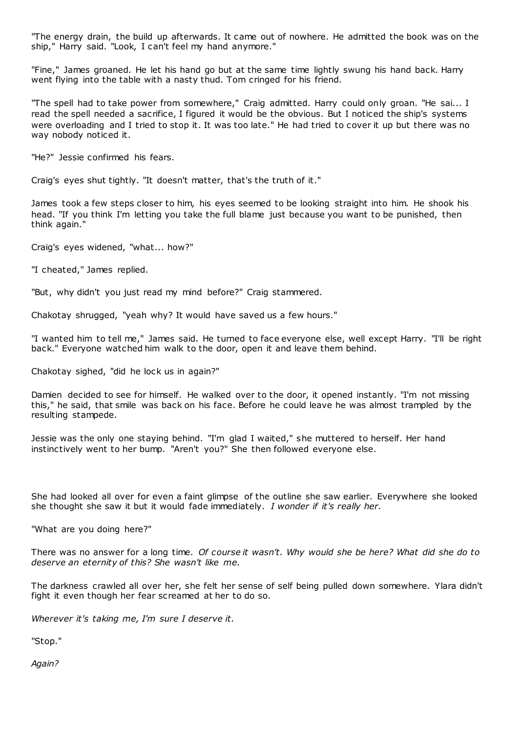"The energy drain, the build up afterwards. It came out of nowhere. He admitted the book was on the ship," Harry said. "Look, I can't feel my hand anymore."

"Fine," James groaned. He let his hand go but at the same time lightly swung his hand back. Harry went flying into the table with a nasty thud. Tom cringed for his friend.

"The spell had to take power from somewhere," Craig admitted. Harry could only groan. "He sai... I read the spell needed a sacrifice, I figured it would be the obvious. But I noticed the ship's systems were overloading and I tried to stop it. It was too late." He had tried to cover it up but there was no way nobody noticed it.

"He?" Jessie confirmed his fears.

Craig's eyes shut tightly. "It doesn't matter, that's the truth of it."

James took a few steps closer to him, his eyes seemed to be looking straight into him. He shook his head. "If you think I'm letting you take the full blame just because you want to be punished, then think again."

Craig's eyes widened, "what... how?"

"I cheated," James replied.

"But, why didn't you just read my mind before?" Craig stammered.

Chakotay shrugged, "yeah why? It would have saved us a few hours."

"I wanted him to tell me," James said. He turned to face everyone else, well except Harry. "I'll be right back." Everyone watched him walk to the door, open it and leave them behind.

Chakotay sighed, "did he lock us in again?"

Damien decided to see for himself. He walked over to the door, it opened instantly. "I'm not missing this," he said, that smile was back on his face. Before he could leave he was almost trampled by the resulting stampede.

Jessie was the only one staying behind. "I'm glad I waited," she muttered to herself. Her hand instinctively went to her bump. "Aren't you?" She then followed everyone else.

She had looked all over for even a faint glimpse of the outline she saw earlier. Everywhere she looked she thought she saw it but it would fade immediately. *I wonder if it's really her.*

"What are you doing here?"

There was no answer for a long time. *Of course it wasn't. Why would she be here? What did she do to deserve an eternity of this? She wasn't like me.*

The darkness crawled all over her, she felt her sense of self being pulled down somewhere. Ylara didn't fight it even though her fear screamed at her to do so.

*Wherever it's taking me, I'm sure I deserve it.*

"Stop."

*Again?*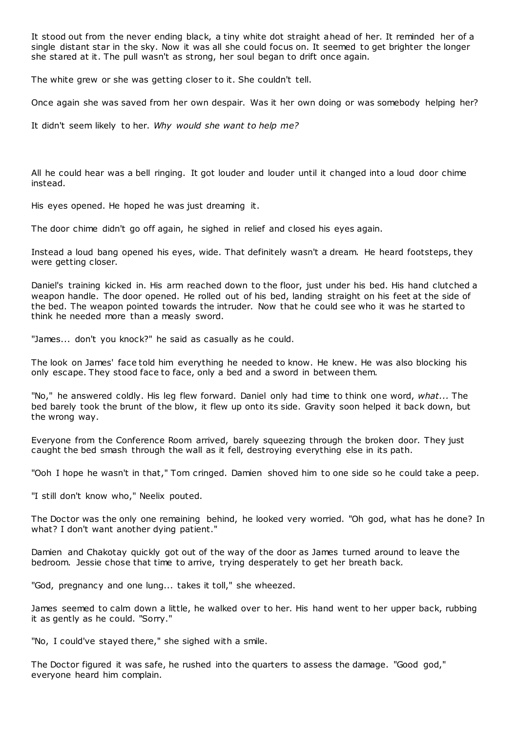It stood out from the never ending black, a tiny white dot straight ahead of her. It reminded her of a single distant star in the sky. Now it was all she could focus on. It seemed to get brighter the longer she stared at it. The pull wasn't as strong, her soul began to drift once again.

The white grew or she was getting closer to it. She couldn't tell.

Once again she was saved from her own despair. Was it her own doing or was somebody helping her?

It didn't seem likely to her. *Why would she want to help me?*

All he could hear was a bell ringing. It got louder and louder until it changed into a loud door chime instead.

His eyes opened. He hoped he was just dreaming it.

The door chime didn't go off again, he sighed in relief and closed his eyes again.

Instead a loud bang opened his eyes, wide. That definitely wasn't a dream. He heard footsteps, they were getting closer.

Daniel's training kicked in. His arm reached down to the floor, just under his bed. His hand clutched a weapon handle. The door opened. He rolled out of his bed, landing straight on his feet at the side of the bed. The weapon pointed towards the intruder. Now that he could see who it was he started to think he needed more than a measly sword.

"James... don't you knock?" he said as casually as he could.

The look on James' face told him everything he needed to know. He knew. He was also blocking his only escape. They stood face to face, only a bed and a sword in between them.

"No," he answered coldly. His leg flew forward. Daniel only had time to think one word, *what...* The bed barely took the brunt of the blow, it flew up onto its side. Gravity soon helped it back down, but the wrong way.

Everyone from the Conference Room arrived, barely squeezing through the broken door. They just caught the bed smash through the wall as it fell, destroying everything else in its path.

"Ooh I hope he wasn't in that," Tom cringed. Damien shoved him to one side so he could take a peep.

"I still don't know who," Neelix pouted.

The Doctor was the only one remaining behind, he looked very worried. "Oh god, what has he done? In what? I don't want another dying patient."

Damien and Chakotay quickly got out of the way of the door as James turned around to leave the bedroom. Jessie chose that time to arrive, trying desperately to get her breath back.

"God, pregnancy and one lung... takes it toll," she wheezed.

James seemed to calm down a little, he walked over to her. His hand went to her upper back, rubbing it as gently as he could. "Sorry."

"No, I could've stayed there," she sighed with a smile.

The Doctor figured it was safe, he rushed into the quarters to assess the damage. "Good god," everyone heard him complain.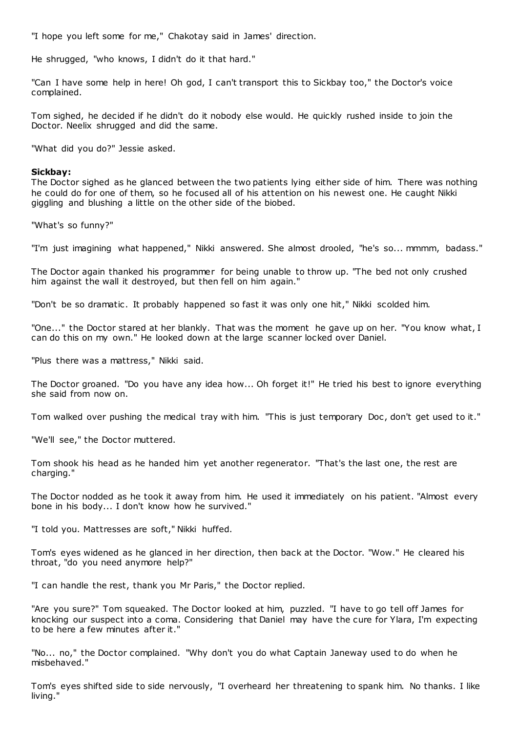"I hope you left some for me," Chakotay said in James' direction.

He shrugged, "who knows, I didn't do it that hard."

"Can I have some help in here! Oh god, I can't transport this to Sickbay too," the Doctor's voice complained.

Tom sighed, he decided if he didn't do it nobody else would. He quickly rushed inside to join the Doctor. Neelix shrugged and did the same.

"What did you do?" Jessie asked.

## **Sickbay:**

The Doctor sighed as he glanced between the two patients lying either side of him. There was nothing he could do for one of them, so he focused all of his attention on his newest one. He caught Nikki giggling and blushing a little on the other side of the biobed.

"What's so funny?"

"I'm just imagining what happened," Nikki answered. She almost drooled, "he's so... mmmm, badass."

The Doctor again thanked his programmer for being unable to throw up. "The bed not only crushed him against the wall it destroyed, but then fell on him again."

"Don't be so dramatic. It probably happened so fast it was only one hit," Nikki scolded him.

"One..." the Doctor stared at her blankly. That was the moment he gave up on her. "You know what, I can do this on my own." He looked down at the large scanner locked over Daniel.

"Plus there was a mattress," Nikki said.

The Doctor groaned. "Do you have any idea how... Oh forget it!" He tried his best to ignore everything she said from now on.

Tom walked over pushing the medical tray with him. "This is just temporary Doc, don't get used to it."

"We'll see," the Doctor muttered.

Tom shook his head as he handed him yet another regenerator. "That's the last one, the rest are charging."

The Doctor nodded as he took it away from him. He used it immediately on his patient. "Almost every bone in his body... I don't know how he survived."

"I told you. Mattresses are soft," Nikki huffed.

Tom's eyes widened as he glanced in her direction, then back at the Doctor. "Wow." He cleared his throat, "do you need anymore help?"

"I can handle the rest, thank you Mr Paris," the Doctor replied.

"Are you sure?" Tom squeaked. The Doctor looked at him, puzzled. "I have to go tell off James for knocking our suspect into a coma. Considering that Daniel may have the cure for Ylara, I'm expecting to be here a few minutes after it."

"No... no," the Doctor complained. "Why don't you do what Captain Janeway used to do when he misbehaved."

Tom's eyes shifted side to side nervously, "I overheard her threatening to spank him. No thanks. I like living."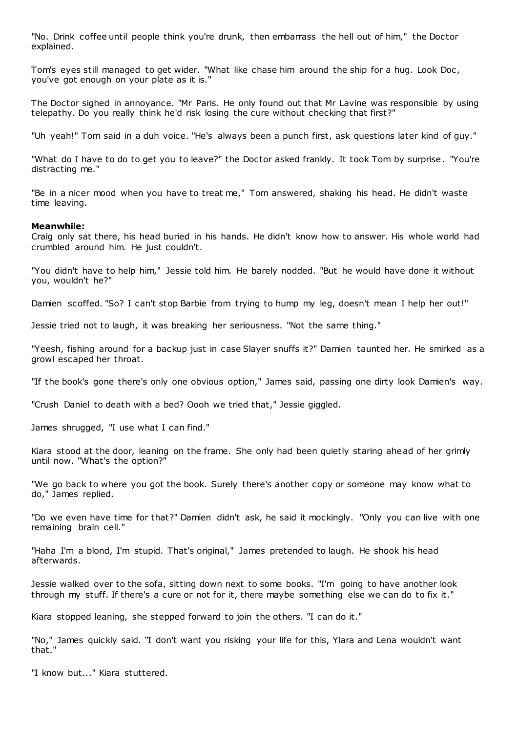"No. Drink coffee until people think you're drunk, then embarrass the hell out of him," the Doctor explained.

Tom's eyes still managed to get wider. "What like chase him around the ship for a hug. Look Doc, you've got enough on your plate as it is."

The Doctor sighed in annoyance. "Mr Paris. He only found out that Mr Lavine was responsible by using telepathy. Do you really think he'd risk losing the cure without checking that first?"

"Uh yeah!" Tom said in a duh voice. "He's always been a punch first, ask questions later kind of guy."

"What do I have to do to get you to leave?" the Doctor asked frankly. It took Tom by surprise. "You're distracting me."

"Be in a nicer mood when you have to treat me," Tom answered, shaking his head. He didn't waste time leaving.

## **Meanwhile:**

Craig only sat there, his head buried in his hands. He didn't know how to answer. His whole world had crumbled around him. He just couldn't.

"You didn't have to help him," Jessie told him. He barely nodded. "But he would have done it without you, wouldn't he?"

Damien scoffed. "So? I can't stop Barbie from trying to hump my leg, doesn't mean I help her out!"

Jessie tried not to laugh, it was breaking her seriousness. "Not the same thing."

"Yeesh, fishing around for a backup just in case Slayer snuffs it?" Damien taunted her. He smirked as a growl escaped her throat.

"If the book's gone there's only one obvious option," James said, passing one dirty look Damien's way.

"Crush Daniel to death with a bed? Oooh we tried that," Jessie giggled.

James shrugged, "I use what I can find."

Kiara stood at the door, leaning on the frame. She only had been quietly staring ahead of her grimly until now. "What's the option?"

"We go back to where you got the book. Surely there's another copy or someone may know what to do," James replied.

"Do we even have time for that?" Damien didn't ask, he said it mockingly. "Only you can live with one remaining brain cell."

"Haha I'm a blond, I'm stupid. That's original," James pretended to laugh. He shook his head afterwards.

Jessie walked over to the sofa, sitting down next to some books. "I'm going to have another look through my stuff. If there's a cure or not for it, there maybe something else we can do to fix it."

Kiara stopped leaning, she stepped forward to join the others. "I can do it."

"No," James quickly said. "I don't want you risking your life for this, Ylara and Lena wouldn't want that."

"I know but..." Kiara stuttered.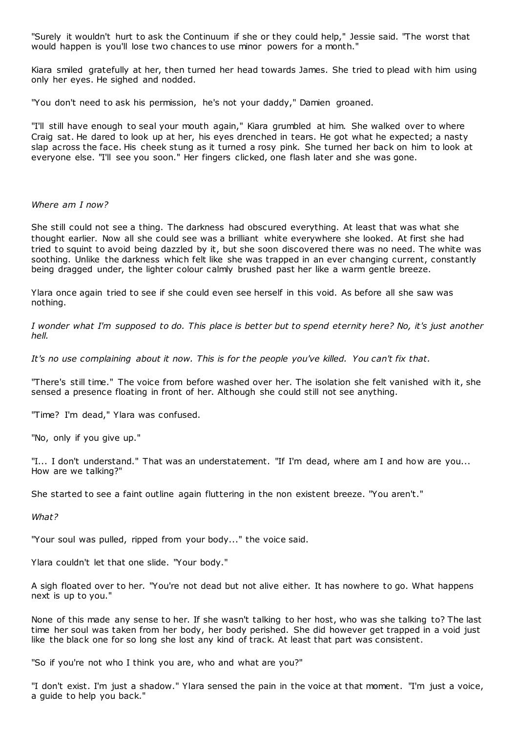"Surely it wouldn't hurt to ask the Continuum if she or they could help," Jessie said. "The worst that would happen is you'll lose two chances to use minor powers for a month."

Kiara smiled gratefully at her, then turned her head towards James. She tried to plead with him using only her eyes. He sighed and nodded.

"You don't need to ask his permission, he's not your daddy," Damien groaned.

"I'll still have enough to seal your mouth again," Kiara grumbled at him. She walked over to where Craig sat. He dared to look up at her, his eyes drenched in tears. He got what he expected; a nasty slap across the face. His cheek stung as it turned a rosy pink. She turned her back on him to look at everyone else. "I'll see you soon." Her fingers clicked, one flash later and she was gone.

# *Where am I now?*

She still could not see a thing. The darkness had obscured everything. At least that was what she thought earlier. Now all she could see was a brilliant white everywhere she looked. At first she had tried to squint to avoid being dazzled by it, but she soon discovered there was no need. The white was soothing. Unlike the darkness which felt like she was trapped in an ever changing current, constantly being dragged under, the lighter colour calmly brushed past her like a warm gentle breeze.

Ylara once again tried to see if she could even see herself in this void. As before all she saw was nothing.

*I wonder what I'm supposed to do. This place is better but to spend eternity here? No, it's just another hell.*

*It's no use complaining about it now. This is for the people you've killed. You can't fix that.*

"There's still time." The voice from before washed over her. The isolation she felt vanished with it, she sensed a presence floating in front of her. Although she could still not see anything.

"Time? I'm dead," Ylara was confused.

"No, only if you give up."

"I... I don't understand." That was an understatement. "If I'm dead, where am I and how are you... How are we talking?"

She started to see a faint outline again fluttering in the non existent breeze. "You aren't."

*What?*

"Your soul was pulled, ripped from your body..." the voice said.

Ylara couldn't let that one slide. "Your body."

A sigh floated over to her. "You're not dead but not alive either. It has nowhere to go. What happens next is up to you."

None of this made any sense to her. If she wasn't talking to her host, who was she talking to? The last time her soul was taken from her body, her body perished. She did however get trapped in a void just like the black one for so long she lost any kind of track. At least that part was consistent.

"So if you're not who I think you are, who and what are you?"

"I don't exist. I'm just a shadow." Ylara sensed the pain in the voice at that moment. "I'm just a voice, a guide to help you back."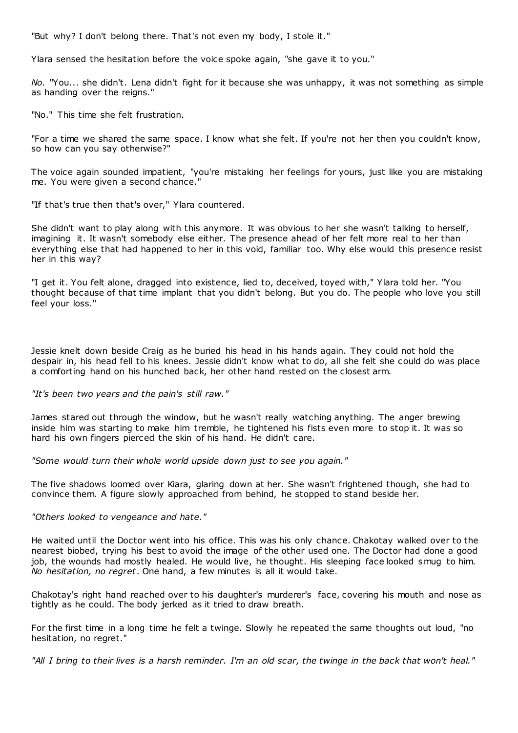"But why? I don't belong there. That's not even my body, I stole it."

Ylara sensed the hesitation before the voice spoke again, "she gave it to you."

*No.* "You... she didn't. Lena didn't fight for it because she was unhappy, it was not something as simple as handing over the reigns."

"No." This time she felt frustration.

"For a time we shared the same space. I know what she felt. If you're not her then you couldn't know, so how can you say otherwise?"

The voice again sounded impatient, "you're mistaking her feelings for yours, just like you are mistaking me. You were given a second chance."

"If that's true then that's over," Ylara countered.

She didn't want to play along with this anymore. It was obvious to her she wasn't talking to herself, imagining it. It wasn't somebody else either. The presence ahead of her felt more real to her than everything else that had happened to her in this void, familiar too. Why else would this presence resist her in this way?

"I get it. You felt alone, dragged into existence, lied to, deceived, toyed with," Ylara told her. "You thought because of that time implant that you didn't belong. But you do. The people who love you still feel your loss."

Jessie knelt down beside Craig as he buried his head in his hands again. They could not hold the despair in, his head fell to his knees. Jessie didn't know what to do, all she felt she could do was place a comforting hand on his hunched back, her other hand rested on the closest arm.

*"It's been two years and the pain's still raw."*

James stared out through the window, but he wasn't really watching anything. The anger brewing inside him was starting to make him tremble, he tightened his fists even more to stop it. It was so hard his own fingers pierced the skin of his hand. He didn't care.

*"Some would turn their whole world upside down just to see you again."*

The five shadows loomed over Kiara, glaring down at her. She wasn't frightened though, she had to convince them. A figure slowly approached from behind, he stopped to stand beside her.

*"Others looked to vengeance and hate."*

He waited until the Doctor went into his office. This was his only chance. Chakotay walked over to the nearest biobed, trying his best to avoid the image of the other used one. The Doctor had done a good job, the wounds had mostly healed. He would live, he thought. His sleeping face looked smug to him. *No hesitation, no regret*. One hand, a few minutes is all it would take.

Chakotay's right hand reached over to his daughter's murderer's face, covering his mouth and nose as tightly as he could. The body jerked as it tried to draw breath.

For the first time in a long time he felt a twinge. Slowly he repeated the same thoughts out loud, "no hesitation, no regret."

*"All I bring to their lives is a harsh reminder. I'm an old scar, the twinge in the back that won't heal."*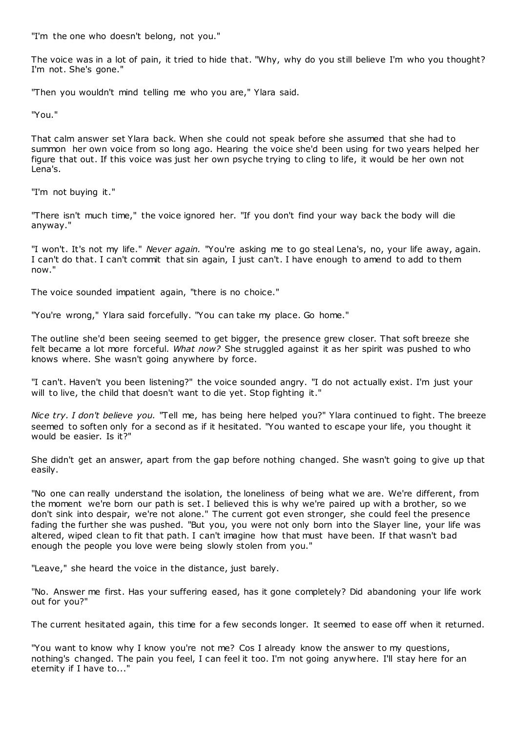"I'm the one who doesn't belong, not you."

The voice was in a lot of pain, it tried to hide that. "Why, why do you still believe I'm who you thought? I'm not. She's gone."

"Then you wouldn't mind telling me who you are," Ylara said.

"You."

That calm answer set Ylara back. When she could not speak before she assumed that she had to summon her own voice from so long ago. Hearing the voice she'd been using for two years helped her figure that out. If this voice was just her own psyche trying to cling to life, it would be her own not Lena's.

"I'm not buying it."

"There isn't much time," the voice ignored her. "If you don't find your way back the body will die anyway."

"I won't. It's not my life." *Never again.* "You're asking me to go steal Lena's, no, your life away, again. I can't do that. I can't commit that sin again, I just can't. I have enough to amend to add to them now."

The voice sounded impatient again, "there is no choice."

"You're wrong," Ylara said forcefully. "You can take my place. Go home."

The outline she'd been seeing seemed to get bigger, the presence grew closer. That soft breeze she felt became a lot more forceful. *What now?* She struggled against it as her spirit was pushed to who knows where. She wasn't going anywhere by force.

"I can't. Haven't you been listening?" the voice sounded angry. "I do not actually exist. I'm just your will to live, the child that doesn't want to die yet. Stop fighting it."

*Nice try. I don't believe you.* "Tell me, has being here helped you?" Ylara continued to fight. The breeze seemed to soften only for a second as if it hesitated. "You wanted to escape your life, you thought it would be easier. Is it?"

She didn't get an answer, apart from the gap before nothing changed. She wasn't going to give up that easily.

"No one can really understand the isolation, the loneliness of being what we are. We're different, from the moment we're born our path is set. I believed this is why we're paired up with a brother, so we don't sink into despair, we're not alone." The current got even stronger, she could feel the presence fading the further she was pushed. "But you, you were not only born into the Slayer line, your life was altered, wiped clean to fit that path. I can't imagine how that must have been. If that wasn't bad enough the people you love were being slowly stolen from you."

"Leave," she heard the voice in the distance, just barely.

"No. Answer me first. Has your suffering eased, has it gone completely? Did abandoning your life work out for you?"

The current hesitated again, this time for a few seconds longer. It seemed to ease off when it returned.

"You want to know why I know you're not me? Cos I already know the answer to my questions, nothing's changed. The pain you feel, I can feel it too. I'm not going anywhere. I'll stay here for an eternity if I have to..."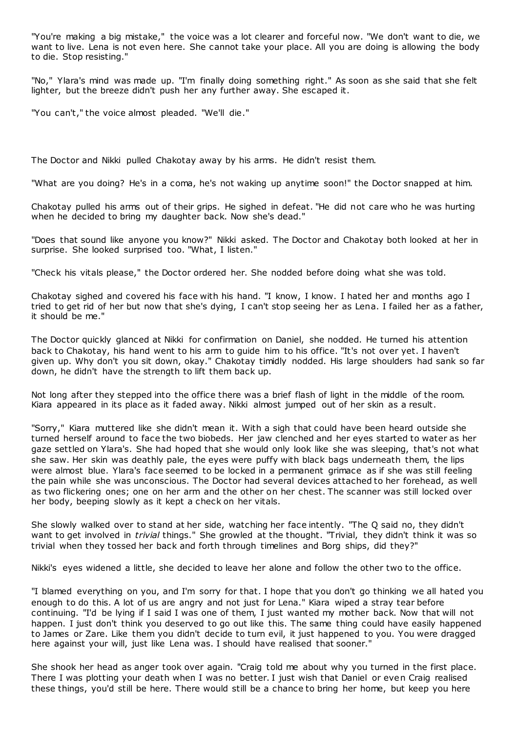"You're making a big mistake," the voice was a lot clearer and forceful now. "We don't want to die, we want to live. Lena is not even here. She cannot take your place. All you are doing is allowing the body to die. Stop resisting."

"No," Ylara's mind was made up. "I'm finally doing something right." As soon as she said that she felt lighter, but the breeze didn't push her any further away. She escaped it.

"You can't," the voice almost pleaded. "We'll die."

The Doctor and Nikki pulled Chakotay away by his arms. He didn't resist them.

"What are you doing? He's in a coma, he's not waking up anytime soon!" the Doctor snapped at him.

Chakotay pulled his arms out of their grips. He sighed in defeat. "He did not care who he was hurting when he decided to bring my daughter back. Now she's dead."

"Does that sound like anyone you know?" Nikki asked. The Doctor and Chakotay both looked at her in surprise. She looked surprised too. "What, I listen."

"Check his vitals please," the Doctor ordered her. She nodded before doing what she was told.

Chakotay sighed and covered his face with his hand. "I know, I know. I hated her and months ago I tried to get rid of her but now that she's dying, I can't stop seeing her as Lena. I failed her as a father, it should be me."

The Doctor quickly glanced at Nikki for confirmation on Daniel, she nodded. He turned his attention back to Chakotay, his hand went to his arm to guide him to his office. "It's not over yet. I haven't given up. Why don't you sit down, okay." Chakotay timidly nodded. His large shoulders had sank so far down, he didn't have the strength to lift them back up.

Not long after they stepped into the office there was a brief flash of light in the middle of the room. Kiara appeared in its place as it faded away. Nikki almost jumped out of her skin as a result.

"Sorry," Kiara muttered like she didn't mean it. With a sigh that could have been heard outside she turned herself around to face the two biobeds. Her jaw clenched and her eyes started to water as her gaze settled on Ylara's. She had hoped that she would only look like she was sleeping, that's not what she saw. Her skin was deathly pale, the eyes were puffy with black bags underneath them, the lips were almost blue. Ylara's face seemed to be locked in a permanent grimace as if she was still feeling the pain while she was unconscious. The Doctor had several devices attached to her forehead, as well as two flickering ones; one on her arm and the other on her chest. The scanner was still locked over her body, beeping slowly as it kept a check on her vitals.

She slowly walked over to stand at her side, watching her face intently. "The Q said no, they didn't want to get involved in *trivial* things." She growled at the thought. "Trivial, they didn't think it was so trivial when they tossed her back and forth through timelines and Borg ships, did they?"

Nikki's eyes widened a little, she decided to leave her alone and follow the other two to the office.

"I blamed everything on you, and I'm sorry for that. I hope that you don't go thinking we all hated you enough to do this. A lot of us are angry and not just for Lena." Kiara wiped a stray tear before continuing. "I'd be lying if I said I was one of them, I just wanted my mother back. Now that will not happen. I just don't think you deserved to go out like this. The same thing could have easily happened to James or Zare. Like them you didn't decide to turn evil, it just happened to you. You were dragged here against your will, just like Lena was. I should have realised that sooner."

She shook her head as anger took over again. "Craig told me about why you turned in the first place. There I was plotting your death when I was no better. I just wish that Daniel or even Craig realised these things, you'd still be here. There would still be a chance to bring her home, but keep you here